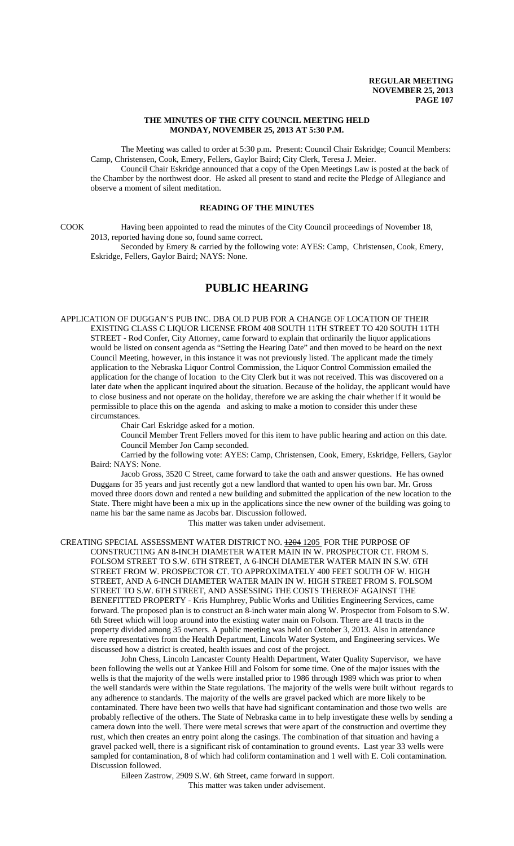#### **THE MINUTES OF THE CITY COUNCIL MEETING HELD MONDAY, NOVEMBER 25, 2013 AT 5:30 P.M.**

The Meeting was called to order at 5:30 p.m. Present: Council Chair Eskridge; Council Members: Camp, Christensen, Cook, Emery, Fellers, Gaylor Baird; City Clerk, Teresa J. Meier.

Council Chair Eskridge announced that a copy of the Open Meetings Law is posted at the back of the Chamber by the northwest door. He asked all present to stand and recite the Pledge of Allegiance and observe a moment of silent meditation.

## **READING OF THE MINUTES**

COOK Having been appointed to read the minutes of the City Council proceedings of November 18, 2013, reported having done so, found same correct.

Seconded by Emery & carried by the following vote: AYES: Camp, Christensen, Cook, Emery, Eskridge, Fellers, Gaylor Baird; NAYS: None.

# **PUBLIC HEARING**

APPLICATION OF DUGGAN'S PUB INC. DBA OLD PUB FOR A CHANGE OF LOCATION OF THEIR EXISTING CLASS C LIQUOR LICENSE FROM 408 SOUTH 11TH STREET TO 420 SOUTH 11TH STREET - Rod Confer, City Attorney, came forward to explain that ordinarily the liquor applications would be listed on consent agenda as "Setting the Hearing Date" and then moved to be heard on the next Council Meeting, however, in this instance it was not previously listed. The applicant made the timely application to the Nebraska Liquor Control Commission, the Liquor Control Commission emailed the application for the change of location to the City Clerk but it was not received. This was discovered on a later date when the applicant inquired about the situation. Because of the holiday, the applicant would have to close business and not operate on the holiday, therefore we are asking the chair whether if it would be permissible to place this on the agenda and asking to make a motion to consider this under these circumstances.

Chair Carl Eskridge asked for a motion.

Council Member Trent Fellers moved for this item to have public hearing and action on this date. Council Member Jon Camp seconded.

Carried by the following vote: AYES: Camp, Christensen, Cook, Emery, Eskridge, Fellers, Gaylor Baird: NAYS: None.

Jacob Gross, 3520 C Street, came forward to take the oath and answer questions. He has owned Duggans for 35 years and just recently got a new landlord that wanted to open his own bar. Mr. Gross moved three doors down and rented a new building and submitted the application of the new location to the State. There might have been a mix up in the applications since the new owner of the building was going to name his bar the same name as Jacobs bar. Discussion followed.

This matter was taken under advisement.

CREATING SPECIAL ASSESSMENT WATER DISTRICT NO. **1204 1205** FOR THE PURPOSE OF CONSTRUCTING AN 8-INCH DIAMETER WATER MAIN IN W. PROSPECTOR CT. FROM S. FOLSOM STREET TO S.W. 6TH STREET, A 6-INCH DIAMETER WATER MAIN IN S.W. 6TH STREET FROM W. PROSPECTOR CT. TO APPROXIMATELY 400 FEET SOUTH OF W. HIGH STREET, AND A 6-INCH DIAMETER WATER MAIN IN W. HIGH STREET FROM S. FOLSOM STREET TO S.W. 6TH STREET, AND ASSESSING THE COSTS THEREOF AGAINST THE BENEFITTED PROPERTY - Kris Humphrey, Public Works and Utilities Engineering Services, came forward. The proposed plan is to construct an 8-inch water main along W. Prospector from Folsom to S.W. 6th Street which will loop around into the existing water main on Folsom. There are 41 tracts in the property divided among 35 owners. A public meeting was held on October 3, 2013. Also in attendance were representatives from the Health Department, Lincoln Water System, and Engineering services. We discussed how a district is created, health issues and cost of the project.

John Chess, Lincoln Lancaster County Health Department, Water Quality Supervisor, we have been following the wells out at Yankee Hill and Folsom for some time. One of the major issues with the wells is that the majority of the wells were installed prior to 1986 through 1989 which was prior to when the well standards were within the State regulations. The majority of the wells were built without regards to any adherence to standards. The majority of the wells are gravel packed which are more likely to be contaminated. There have been two wells that have had significant contamination and those two wells are probably reflective of the others. The State of Nebraska came in to help investigate these wells by sending a camera down into the well. There were metal screws that were apart of the construction and overtime they rust, which then creates an entry point along the casings. The combination of that situation and having a gravel packed well, there is a significant risk of contamination to ground events. Last year 33 wells were sampled for contamination, 8 of which had coliform contamination and 1 well with E. Coli contamination. Discussion followed.

 Eileen Zastrow, 2909 S.W. 6th Street, came forward in support. This matter was taken under advisement.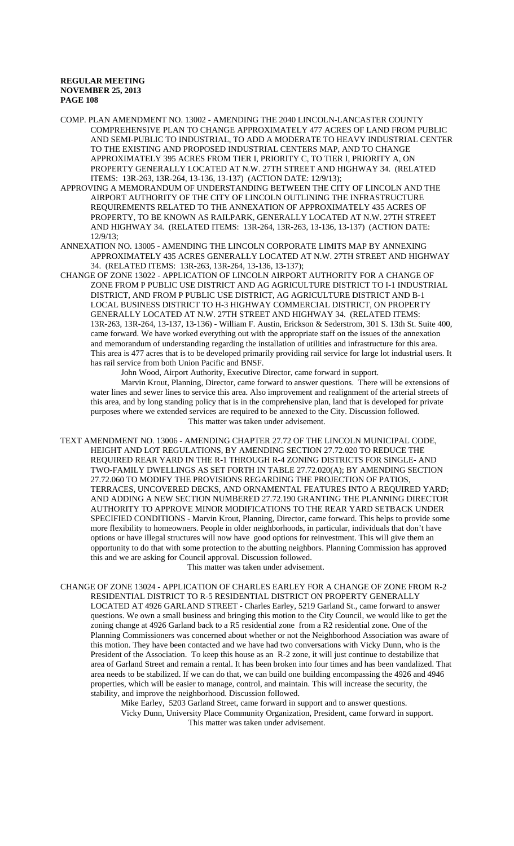COMP. PLAN AMENDMENT NO. 13002 - AMENDING THE 2040 LINCOLN-LANCASTER COUNTY COMPREHENSIVE PLAN TO CHANGE APPROXIMATELY 477 ACRES OF LAND FROM PUBLIC AND SEMI-PUBLIC TO INDUSTRIAL, TO ADD A MODERATE TO HEAVY INDUSTRIAL CENTER TO THE EXISTING AND PROPOSED INDUSTRIAL CENTERS MAP, AND TO CHANGE APPROXIMATELY 395 ACRES FROM TIER I, PRIORITY C, TO TIER I, PRIORITY A, ON PROPERTY GENERALLY LOCATED AT N.W. 27TH STREET AND HIGHWAY 34. (RELATED ITEMS: 13R-263, 13R-264, 13-136, 13-137) (ACTION DATE: 12/9/13);

APPROVING A MEMORANDUM OF UNDERSTANDING BETWEEN THE CITY OF LINCOLN AND THE AIRPORT AUTHORITY OF THE CITY OF LINCOLN OUTLINING THE INFRASTRUCTURE REQUIREMENTS RELATED TO THE ANNEXATION OF APPROXIMATELY 435 ACRES OF PROPERTY, TO BE KNOWN AS RAILPARK, GENERALLY LOCATED AT N.W. 27TH STREET AND HIGHWAY 34. (RELATED ITEMS: 13R-264, 13R-263, 13-136, 13-137) (ACTION DATE: 12/9/13;

ANNEXATION NO. 13005 - AMENDING THE LINCOLN CORPORATE LIMITS MAP BY ANNEXING APPROXIMATELY 435 ACRES GENERALLY LOCATED AT N.W. 27TH STREET AND HIGHWAY 34. (RELATED ITEMS: 13R-263, 13R-264, 13-136, 13-137);

CHANGE OF ZONE 13022 - APPLICATION OF LINCOLN AIRPORT AUTHORITY FOR A CHANGE OF ZONE FROM P PUBLIC USE DISTRICT AND AG AGRICULTURE DISTRICT TO I-1 INDUSTRIAL DISTRICT, AND FROM P PUBLIC USE DISTRICT, AG AGRICULTURE DISTRICT AND B-1 LOCAL BUSINESS DISTRICT TO H-3 HIGHWAY COMMERCIAL DISTRICT, ON PROPERTY GENERALLY LOCATED AT N.W. 27TH STREET AND HIGHWAY 34. (RELATED ITEMS: 13R-263, 13R-264, 13-137, 13-136) - William F. Austin, Erickson & Sederstrom, 301 S. 13th St. Suite 400, came forward. We have worked everything out with the appropriate staff on the issues of the annexation and memorandum of understanding regarding the installation of utilities and infrastructure for this area. This area is 477 acres that is to be developed primarily providing rail service for large lot industrial users. It has rail service from both Union Pacific and BNSF.

John Wood, Airport Authority, Executive Director, came forward in support.

Marvin Krout, Planning, Director, came forward to answer questions. There will be extensions of water lines and sewer lines to service this area. Also improvement and realignment of the arterial streets of this area, and by long standing policy that is in the comprehensive plan, land that is developed for private purposes where we extended services are required to be annexed to the City. Discussion followed. This matter was taken under advisement.

TEXT AMENDMENT NO. 13006 - AMENDING CHAPTER 27.72 OF THE LINCOLN MUNICIPAL CODE, HEIGHT AND LOT REGULATIONS, BY AMENDING SECTION 27.72.020 TO REDUCE THE REQUIRED REAR YARD IN THE R-1 THROUGH R-4 ZONING DISTRICTS FOR SINGLE- AND TWO-FAMILY DWELLINGS AS SET FORTH IN TABLE 27.72.020(A); BY AMENDING SECTION 27.72.060 TO MODIFY THE PROVISIONS REGARDING THE PROJECTION OF PATIOS, TERRACES, UNCOVERED DECKS, AND ORNAMENTAL FEATURES INTO A REQUIRED YARD; AND ADDING A NEW SECTION NUMBERED 27.72.190 GRANTING THE PLANNING DIRECTOR AUTHORITY TO APPROVE MINOR MODIFICATIONS TO THE REAR YARD SETBACK UNDER SPECIFIED CONDITIONS - Marvin Krout, Planning, Director, came forward. This helps to provide some more flexibility to homeowners. People in older neighborhoods, in particular, individuals that don't have options or have illegal structures will now have good options for reinvestment. This will give them an opportunity to do that with some protection to the abutting neighbors. Planning Commission has approved this and we are asking for Council approval. Discussion followed.

This matter was taken under advisement.

CHANGE OF ZONE 13024 - APPLICATION OF CHARLES EARLEY FOR A CHANGE OF ZONE FROM R-2 RESIDENTIAL DISTRICT TO R-5 RESIDENTIAL DISTRICT ON PROPERTY GENERALLY LOCATED AT 4926 GARLAND STREET - Charles Earley, 5219 Garland St., came forward to answer questions. We own a small business and bringing this motion to the City Council, we would like to get the zoning change at 4926 Garland back to a R5 residential zone from a R2 residential zone. One of the Planning Commissioners was concerned about whether or not the Neighborhood Association was aware of this motion. They have been contacted and we have had two conversations with Vicky Dunn, who is the President of the Association. To keep this house as an R-2 zone, it will just continue to destabilize that area of Garland Street and remain a rental. It has been broken into four times and has been vandalized. That area needs to be stabilized. If we can do that, we can build one building encompassing the 4926 and 4946 properties, which will be easier to manage, control, and maintain. This will increase the security, the stability, and improve the neighborhood. Discussion followed.

> Mike Earley, 5203 Garland Street, came forward in support and to answer questions. Vicky Dunn, University Place Community Organization, President, came forward in support. This matter was taken under advisement.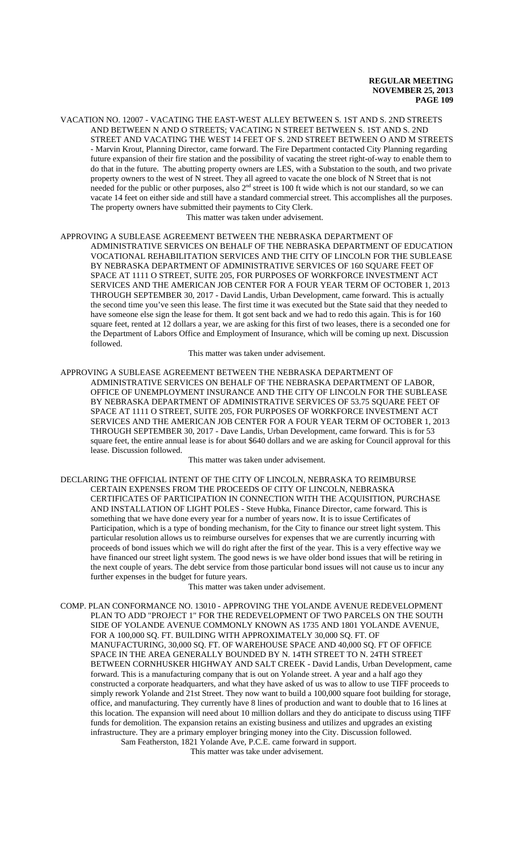VACATION NO. 12007 - VACATING THE EAST-WEST ALLEY BETWEEN S. 1ST AND S. 2ND STREETS AND BETWEEN N AND O STREETS; VACATING N STREET BETWEEN S. 1ST AND S. 2ND STREET AND VACATING THE WEST 14 FEET OF S. 2ND STREET BETWEEN O AND M STREETS - Marvin Krout, Planning Director, came forward. The Fire Department contacted City Planning regarding future expansion of their fire station and the possibility of vacating the street right-of-way to enable them to do that in the future. The abutting property owners are LES, with a Substation to the south, and two private property owners to the west of N street. They all agreed to vacate the one block of N Street that is not needed for the public or other purposes, also  $2<sup>nd</sup>$  street is 100 ft wide which is not our standard, so we can vacate 14 feet on either side and still have a standard commercial street. This accomplishes all the purposes. The property owners have submitted their payments to City Clerk.

This matter was taken under advisement.

APPROVING A SUBLEASE AGREEMENT BETWEEN THE NEBRASKA DEPARTMENT OF ADMINISTRATIVE SERVICES ON BEHALF OF THE NEBRASKA DEPARTMENT OF EDUCATION VOCATIONAL REHABILITATION SERVICES AND THE CITY OF LINCOLN FOR THE SUBLEASE BY NEBRASKA DEPARTMENT OF ADMINISTRATIVE SERVICES OF 160 SOUARE FEET OF SPACE AT 1111 O STREET, SUITE 205, FOR PURPOSES OF WORKFORCE INVESTMENT ACT SERVICES AND THE AMERICAN JOB CENTER FOR A FOUR YEAR TERM OF OCTOBER 1, 2013 THROUGH SEPTEMBER 30, 2017 - David Landis, Urban Development, came forward. This is actually the second time you've seen this lease. The first time it was executed but the State said that they needed to have someone else sign the lease for them. It got sent back and we had to redo this again. This is for 160 square feet, rented at 12 dollars a year, we are asking for this first of two leases, there is a seconded one for the Department of Labors Office and Employment of Insurance, which will be coming up next. Discussion followed.

This matter was taken under advisement.

APPROVING A SUBLEASE AGREEMENT BETWEEN THE NEBRASKA DEPARTMENT OF ADMINISTRATIVE SERVICES ON BEHALF OF THE NEBRASKA DEPARTMENT OF LABOR, OFFICE OF UNEMPLOYMENT INSURANCE AND THE CITY OF LINCOLN FOR THE SUBLEASE BY NEBRASKA DEPARTMENT OF ADMINISTRATIVE SERVICES OF 53.75 SQUARE FEET OF SPACE AT 1111 O STREET, SUITE 205, FOR PURPOSES OF WORKFORCE INVESTMENT ACT SERVICES AND THE AMERICAN JOB CENTER FOR A FOUR YEAR TERM OF OCTOBER 1, 2013 THROUGH SEPTEMBER 30, 2017 - Dave Landis, Urban Development, came forward. This is for 53 square feet, the entire annual lease is for about \$640 dollars and we are asking for Council approval for this lease. Discussion followed.

This matter was taken under advisement.

DECLARING THE OFFICIAL INTENT OF THE CITY OF LINCOLN, NEBRASKA TO REIMBURSE CERTAIN EXPENSES FROM THE PROCEEDS OF CITY OF LINCOLN, NEBRASKA CERTIFICATES OF PARTICIPATION IN CONNECTION WITH THE ACQUISITION, PURCHASE AND INSTALLATION OF LIGHT POLES - Steve Hubka, Finance Director, came forward. This is something that we have done every year for a number of years now. It is to issue Certificates of Participation, which is a type of bonding mechanism, for the City to finance our street light system. This particular resolution allows us to reimburse ourselves for expenses that we are currently incurring with proceeds of bond issues which we will do right after the first of the year. This is a very effective way we have financed our street light system. The good news is we have older bond issues that will be retiring in the next couple of years. The debt service from those particular bond issues will not cause us to incur any further expenses in the budget for future years.

This matter was taken under advisement.

COMP. PLAN CONFORMANCE NO. 13010 - APPROVING THE YOLANDE AVENUE REDEVELOPMENT PLAN TO ADD "PROJECT 1" FOR THE REDEVELOPMENT OF TWO PARCELS ON THE SOUTH SIDE OF YOLANDE AVENUE COMMONLY KNOWN AS 1735 AND 1801 YOLANDE AVENUE, FOR A 100,000 SQ. FT. BUILDING WITH APPROXIMATELY 30,000 SQ. FT. OF MANUFACTURING, 30,000 SQ. FT. OF WAREHOUSE SPACE AND 40,000 SQ. FT OF OFFICE SPACE IN THE AREA GENERALLY BOUNDED BY N. 14TH STREET TO N. 24TH STREET BETWEEN CORNHUSKER HIGHWAY AND SALT CREEK - David Landis, Urban Development, came forward. This is a manufacturing company that is out on Yolande street. A year and a half ago they constructed a corporate headquarters, and what they have asked of us was to allow to use TIFF proceeds to simply rework Yolande and 21st Street. They now want to build a 100,000 square foot building for storage, office, and manufacturing. They currently have 8 lines of production and want to double that to 16 lines at this location. The expansion will need about 10 million dollars and they do anticipate to discuss using TIFF funds for demolition. The expansion retains an existing business and utilizes and upgrades an existing infrastructure. They are a primary employer bringing money into the City. Discussion followed. Sam Featherston, 1821 Yolande Ave, P.C.E. came forward in support.

This matter was take under advisement.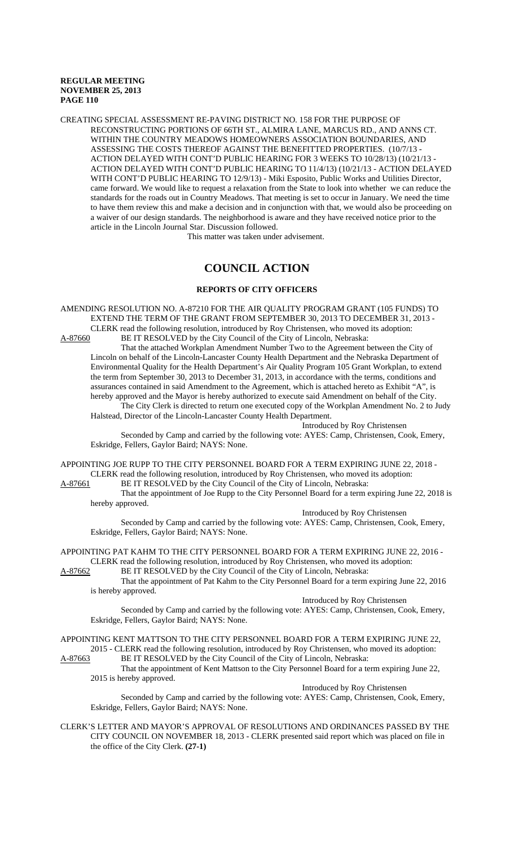CREATING SPECIAL ASSESSMENT RE-PAVING DISTRICT NO. 158 FOR THE PURPOSE OF RECONSTRUCTING PORTIONS OF 66TH ST., ALMIRA LANE, MARCUS RD., AND ANNS CT. WITHIN THE COUNTRY MEADOWS HOMEOWNERS ASSOCIATION BOUNDARIES, AND ASSESSING THE COSTS THEREOF AGAINST THE BENEFITTED PROPERTIES. (10/7/13 - ACTION DELAYED WITH CONT'D PUBLIC HEARING FOR 3 WEEKS TO 10/28/13) (10/21/13 - ACTION DELAYED WITH CONT'D PUBLIC HEARING TO 11/4/13) (10/21/13 - ACTION DELAYED WITH CONT'D PUBLIC HEARING TO 12/9/13) - Miki Esposito, Public Works and Utilities Director, came forward. We would like to request a relaxation from the State to look into whether we can reduce the standards for the roads out in Country Meadows. That meeting is set to occur in January. We need the time to have them review this and make a decision and in conjunction with that, we would also be proceeding on a waiver of our design standards. The neighborhood is aware and they have received notice prior to the article in the Lincoln Journal Star. Discussion followed.

This matter was taken under advisement.

# **COUNCIL ACTION**

#### **REPORTS OF CITY OFFICERS**

AMENDING RESOLUTION NO. A-87210 FOR THE AIR QUALITY PROGRAM GRANT (105 FUNDS) TO EXTEND THE TERM OF THE GRANT FROM SEPTEMBER 30, 2013 TO DECEMBER 31, 2013 - CLERK read the following resolution, introduced by Roy Christensen, who moved its adoption:<br>A-87660 BE IT RESOLVED by the City Council of the City of Lincoln, Nebraska: BE IT RESOLVED by the City Council of the City of Lincoln, Nebraska:

That the attached Workplan Amendment Number Two to the Agreement between the City of Lincoln on behalf of the Lincoln-Lancaster County Health Department and the Nebraska Department of Environmental Quality for the Health Department's Air Quality Program 105 Grant Workplan, to extend the term from September 30, 2013 to December 31, 2013, in accordance with the terms, conditions and assurances contained in said Amendment to the Agreement, which is attached hereto as Exhibit "A", is hereby approved and the Mayor is hereby authorized to execute said Amendment on behalf of the City. The City Clerk is directed to return one executed copy of the Workplan Amendment No. 2 to Judy

Halstead, Director of the Lincoln-Lancaster County Health Department.

#### Introduced by Roy Christensen

Seconded by Camp and carried by the following vote: AYES: Camp, Christensen, Cook, Emery, Eskridge, Fellers, Gaylor Baird; NAYS: None.

APPOINTING JOE RUPP TO THE CITY PERSONNEL BOARD FOR A TERM EXPIRING JUNE 22, 2018 - CLERK read the following resolution, introduced by Roy Christensen, who moved its adoption:

A-87661 BE IT RESOLVED by the City Council of the City of Lincoln, Nebraska:

That the appointment of Joe Rupp to the City Personnel Board for a term expiring June 22, 2018 is hereby approved.

Introduced by Roy Christensen

Seconded by Camp and carried by the following vote: AYES: Camp, Christensen, Cook, Emery, Eskridge, Fellers, Gaylor Baird; NAYS: None.

APPOINTING PAT KAHM TO THE CITY PERSONNEL BOARD FOR A TERM EXPIRING JUNE 22, 2016 - CLERK read the following resolution, introduced by Roy Christensen, who moved its adoption:<br>A-87662 BE IT RESOLVED by the City Council of the City of Lincoln, Nebraska:

BE IT RESOLVED by the City Council of the City of Lincoln, Nebraska:

That the appointment of Pat Kahm to the City Personnel Board for a term expiring June 22, 2016 is hereby approved.

#### Introduced by Roy Christensen

Seconded by Camp and carried by the following vote: AYES: Camp, Christensen, Cook, Emery, Eskridge, Fellers, Gaylor Baird; NAYS: None.

APPOINTING KENT MATTSON TO THE CITY PERSONNEL BOARD FOR A TERM EXPIRING JUNE 22, 2015 - CLERK read the following resolution, introduced by Roy Christensen, who moved its adoption:

A-87663 BE IT RESOLVED by the City Council of the City of Lincoln, Nebraska:

That the appointment of Kent Mattson to the City Personnel Board for a term expiring June 22, 2015 is hereby approved. Introduced by Roy Christensen

Seconded by Camp and carried by the following vote: AYES: Camp, Christensen, Cook, Emery, Eskridge, Fellers, Gaylor Baird; NAYS: None.

CLERK'S LETTER AND MAYOR'S APPROVAL OF RESOLUTIONS AND ORDINANCES PASSED BY THE CITY COUNCIL ON NOVEMBER 18, 2013 - CLERK presented said report which was placed on file in the office of the City Clerk. **(27-1)**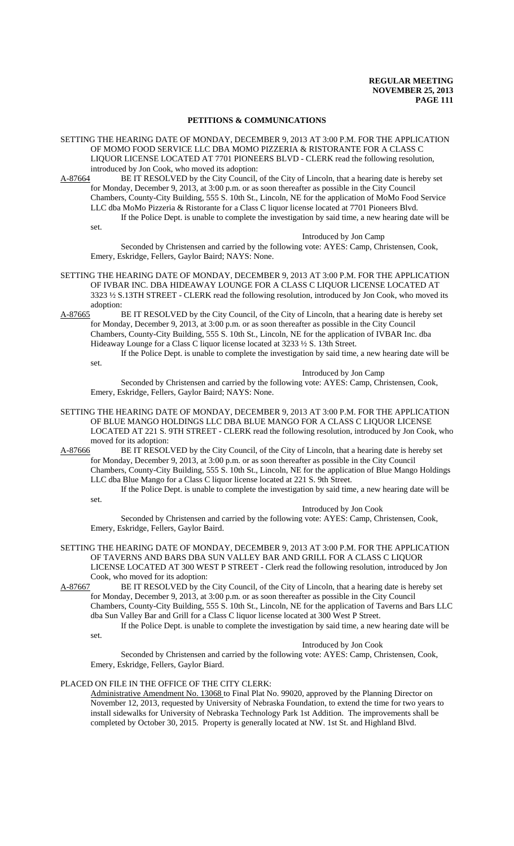#### **PETITIONS & COMMUNICATIONS**

SETTING THE HEARING DATE OF MONDAY, DECEMBER 9, 2013 AT 3:00 P.M. FOR THE APPLICATION OF MOMO FOOD SERVICE LLC DBA MOMO PIZZERIA & RISTORANTE FOR A CLASS C LIQUOR LICENSE LOCATED AT 7701 PIONEERS BLVD - CLERK read the following resolution, introduced by Jon Cook, who moved its adoption:

A-87664 BE IT RESOLVED by the City Council, of the City of Lincoln, that a hearing date is hereby set for Monday, December 9, 2013, at 3:00 p.m. or as soon thereafter as possible in the City Council Chambers, County-City Building, 555 S. 10th St., Lincoln, NE for the application of MoMo Food Service LLC dba MoMo Pizzeria & Ristorante for a Class C liquor license located at 7701 Pioneers Blvd. If the Police Dept. is unable to complete the investigation by said time, a new hearing date will be

set.

#### Introduced by Jon Camp

Seconded by Christensen and carried by the following vote: AYES: Camp, Christensen, Cook, Emery, Eskridge, Fellers, Gaylor Baird; NAYS: None.

- SETTING THE HEARING DATE OF MONDAY, DECEMBER 9, 2013 AT 3:00 P.M. FOR THE APPLICATION OF IVBAR INC. DBA HIDEAWAY LOUNGE FOR A CLASS C LIQUOR LICENSE LOCATED AT 3323 ½ S.13TH STREET - CLERK read the following resolution, introduced by Jon Cook, who moved its adoption:<br>A-87665 I
- BE IT RESOLVED by the City Council, of the City of Lincoln, that a hearing date is hereby set for Monday, December 9, 2013, at 3:00 p.m. or as soon thereafter as possible in the City Council Chambers, County-City Building, 555 S. 10th St., Lincoln, NE for the application of IVBAR Inc. dba Hideaway Lounge for a Class C liquor license located at 3233 ½ S. 13th Street.
	- If the Police Dept. is unable to complete the investigation by said time, a new hearing date will be set. Introduced by Jon Camp

Seconded by Christensen and carried by the following vote: AYES: Camp, Christensen, Cook, Emery, Eskridge, Fellers, Gaylor Baird; NAYS: None.

SETTING THE HEARING DATE OF MONDAY, DECEMBER 9, 2013 AT 3:00 P.M. FOR THE APPLICATION OF BLUE MANGO HOLDINGS LLC DBA BLUE MANGO FOR A CLASS C LIQUOR LICENSE LOCATED AT 221 S. 9TH STREET - CLERK read the following resolution, introduced by Jon Cook, who moved for its adoption:

A-87666 BE IT RESOLVED by the City Council, of the City of Lincoln, that a hearing date is hereby set for Monday, December 9, 2013, at 3:00 p.m. or as soon thereafter as possible in the City Council Chambers, County-City Building, 555 S. 10th St., Lincoln, NE for the application of Blue Mango Holdings LLC dba Blue Mango for a Class C liquor license located at 221 S. 9th Street.

If the Police Dept. is unable to complete the investigation by said time, a new hearing date will be set.

Introduced by Jon Cook

Seconded by Christensen and carried by the following vote: AYES: Camp, Christensen, Cook, Emery, Eskridge, Fellers, Gaylor Baird.

SETTING THE HEARING DATE OF MONDAY, DECEMBER 9, 2013 AT 3:00 P.M. FOR THE APPLICATION OF TAVERNS AND BARS DBA SUN VALLEY BAR AND GRILL FOR A CLASS C LIQUOR LICENSE LOCATED AT 300 WEST P STREET - Clerk read the following resolution, introduced by Jon Cook, who moved for its adoption:

A-87667 BE IT RESOLVED by the City Council, of the City of Lincoln, that a hearing date is hereby set for Monday, December 9, 2013, at 3:00 p.m. or as soon thereafter as possible in the City Council Chambers, County-City Building, 555 S. 10th St., Lincoln, NE for the application of Taverns and Bars LLC dba Sun Valley Bar and Grill for a Class C liquor license located at 300 West P Street.

If the Police Dept. is unable to complete the investigation by said time, a new hearing date will be set.

Introduced by Jon Cook

Seconded by Christensen and carried by the following vote: AYES: Camp, Christensen, Cook, Emery, Eskridge, Fellers, Gaylor Biard.

### PLACED ON FILE IN THE OFFICE OF THE CITY CLERK:

Administrative Amendment No. 13068 to Final Plat No. 99020, approved by the Planning Director on November 12, 2013, requested by University of Nebraska Foundation, to extend the time for two years to install sidewalks for University of Nebraska Technology Park 1st Addition. The improvements shall be completed by October 30, 2015. Property is generally located at NW. 1st St. and Highland Blvd.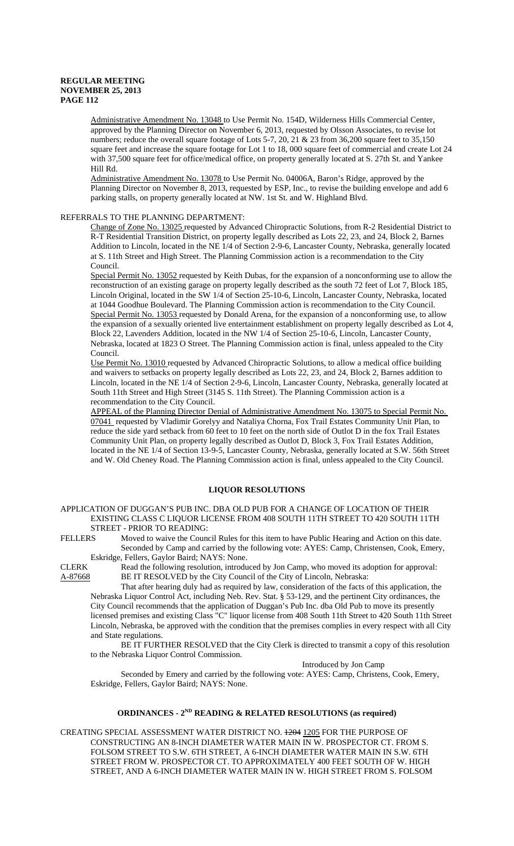Administrative Amendment No. 13048 to Use Permit No. 154D, Wilderness Hills Commercial Center, approved by the Planning Director on November 6, 2013, requested by Olsson Associates, to revise lot numbers; reduce the overall square footage of Lots 5-7, 20, 21 & 23 from 36,200 square feet to 35,150 square feet and increase the square footage for Lot 1 to 18, 000 square feet of commercial and create Lot 24 with 37,500 square feet for office/medical office, on property generally located at S. 27th St. and Yankee Hill Rd.

Administrative Amendment No. 13078 to Use Permit No. 04006A, Baron's Ridge, approved by the Planning Director on November 8, 2013, requested by ESP, Inc., to revise the building envelope and add 6 parking stalls, on property generally located at NW. 1st St. and W. Highland Blvd.

#### REFERRALS TO THE PLANNING DEPARTMENT:

Change of Zone No. 13025 requested by Advanced Chiropractic Solutions, from R-2 Residential District to R-T Residential Transition District, on property legally described as Lots 22, 23, and 24, Block 2, Barnes Addition to Lincoln, located in the NE 1/4 of Section 2-9-6, Lancaster County, Nebraska, generally located at S. 11th Street and High Street. The Planning Commission action is a recommendation to the City Council.

Special Permit No. 13052 requested by Keith Dubas, for the expansion of a nonconforming use to allow the reconstruction of an existing garage on property legally described as the south 72 feet of Lot 7, Block 185, Lincoln Original, located in the SW 1/4 of Section 25-10-6, Lincoln, Lancaster County, Nebraska, located at 1044 Goodhue Boulevard. The Planning Commission action is recommendation to the City Council. Special Permit No. 13053 requested by Donald Arena, for the expansion of a nonconforming use, to allow the expansion of a sexually oriented live entertainment establishment on property legally described as Lot 4, Block 22, Lavenders Addition, located in the NW 1/4 of Section 25-10-6, Lincoln, Lancaster County, Nebraska, located at 1823 O Street. The Planning Commission action is final, unless appealed to the City Council.

Use Permit No. 13010 requested by Advanced Chiropractic Solutions, to allow a medical office building and waivers to setbacks on property legally described as Lots 22, 23, and 24, Block 2, Barnes addition to Lincoln, located in the NE 1/4 of Section 2-9-6, Lincoln, Lancaster County, Nebraska, generally located at South 11th Street and High Street (3145 S. 11th Street). The Planning Commission action is a recommendation to the City Council.

APPEAL of the Planning Director Denial of Administrative Amendment No. 13075 to Special Permit No. 07041 requested by Vladimir Gorelyy and Nataliya Chorna, Fox Trail Estates Community Unit Plan, to reduce the side yard setback from 60 feet to 10 feet on the north side of Outlot D in the fox Trail Estates Community Unit Plan, on property legally described as Outlot D, Block 3, Fox Trail Estates Addition, located in the NE 1/4 of Section 13-9-5, Lancaster County, Nebraska, generally located at S.W. 56th Street and W. Old Cheney Road. The Planning Commission action is final, unless appealed to the City Council.

#### **LIQUOR RESOLUTIONS**

APPLICATION OF DUGGAN'S PUB INC. DBA OLD PUB FOR A CHANGE OF LOCATION OF THEIR EXISTING CLASS C LIQUOR LICENSE FROM 408 SOUTH 11TH STREET TO 420 SOUTH 11TH STREET - PRIOR TO READING:<br>FELLERS Moved to waive the Counc

Moved to waive the Council Rules for this item to have Public Hearing and Action on this date. Seconded by Camp and carried by the following vote: AYES: Camp, Christensen, Cook, Emery,

Eskridge, Fellers, Gaylor Baird; NAYS: None.<br>CLERK Read the following resolution, introdu Read the following resolution, introduced by Jon Camp, who moved its adoption for approval: A-87668 BE IT RESOLVED by the City Council of the City of Lincoln, Nebraska:

That after hearing duly had as required by law, consideration of the facts of this application, the Nebraska Liquor Control Act, including Neb. Rev. Stat. § 53-129, and the pertinent City ordinances, the City Council recommends that the application of Duggan's Pub Inc. dba Old Pub to move its presently licensed premises and existing Class "C" liquor license from 408 South 11th Street to 420 South 11th Street Lincoln, Nebraska, be approved with the condition that the premises complies in every respect with all City and State regulations.

BE IT FURTHER RESOLVED that the City Clerk is directed to transmit a copy of this resolution to the Nebraska Liquor Control Commission.

#### Introduced by Jon Camp

Seconded by Emery and carried by the following vote: AYES: Camp, Christens, Cook, Emery, Eskridge, Fellers, Gaylor Baird; NAYS: None.

# **ORDINANCES - 2ND READING & RELATED RESOLUTIONS (as required)**

CREATING SPECIAL ASSESSMENT WATER DISTRICT NO. 1204 1205 FOR THE PURPOSE OF CONSTRUCTING AN 8-INCH DIAMETER WATER MAIN IN W. PROSPECTOR CT. FROM S. FOLSOM STREET TO S.W. 6TH STREET, A 6-INCH DIAMETER WATER MAIN IN S.W. 6TH STREET FROM W. PROSPECTOR CT. TO APPROXIMATELY 400 FEET SOUTH OF W. HIGH STREET, AND A 6-INCH DIAMETER WATER MAIN IN W. HIGH STREET FROM S. FOLSOM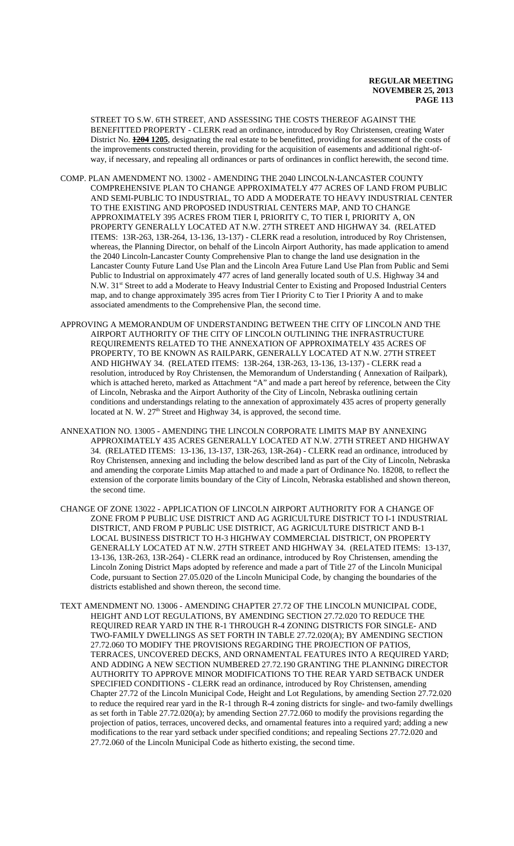STREET TO S.W. 6TH STREET, AND ASSESSING THE COSTS THEREOF AGAINST THE BENEFITTED PROPERTY - CLERK read an ordinance, introduced by Roy Christensen, creating Water District No. **1204 1205**, designating the real estate to be benefitted, providing for assessment of the costs of the improvements constructed therein, providing for the acquisition of easements and additional right-ofway, if necessary, and repealing all ordinances or parts of ordinances in conflict herewith, the second time.

- COMP. PLAN AMENDMENT NO. 13002 AMENDING THE 2040 LINCOLN-LANCASTER COUNTY COMPREHENSIVE PLAN TO CHANGE APPROXIMATELY 477 ACRES OF LAND FROM PUBLIC AND SEMI-PUBLIC TO INDUSTRIAL, TO ADD A MODERATE TO HEAVY INDUSTRIAL CENTER TO THE EXISTING AND PROPOSED INDUSTRIAL CENTERS MAP, AND TO CHANGE APPROXIMATELY 395 ACRES FROM TIER I, PRIORITY C, TO TIER I, PRIORITY A, ON PROPERTY GENERALLY LOCATED AT N.W. 27TH STREET AND HIGHWAY 34. (RELATED ITEMS: 13R-263, 13R-264, 13-136, 13-137) - CLERK read a resolution, introduced by Roy Christensen, whereas, the Planning Director, on behalf of the Lincoln Airport Authority, has made application to amend the 2040 Lincoln-Lancaster County Comprehensive Plan to change the land use designation in the Lancaster County Future Land Use Plan and the Lincoln Area Future Land Use Plan from Public and Semi Public to Industrial on approximately 477 acres of land generally located south of U.S. Highway 34 and N.W. 31<sup>st</sup> Street to add a Moderate to Heavy Industrial Center to Existing and Proposed Industrial Centers map, and to change approximately 395 acres from Tier I Priority C to Tier I Priority A and to make associated amendments to the Comprehensive Plan, the second time.
- APPROVING A MEMORANDUM OF UNDERSTANDING BETWEEN THE CITY OF LINCOLN AND THE AIRPORT AUTHORITY OF THE CITY OF LINCOLN OUTLINING THE INFRASTRUCTURE REQUIREMENTS RELATED TO THE ANNEXATION OF APPROXIMATELY 435 ACRES OF PROPERTY, TO BE KNOWN AS RAILPARK, GENERALLY LOCATED AT N.W. 27TH STREET AND HIGHWAY 34. (RELATED ITEMS: 13R-264, 13R-263, 13-136, 13-137) - CLERK read a resolution, introduced by Roy Christensen, the Memorandum of Understanding ( Annexation of Railpark), which is attached hereto, marked as Attachment "A" and made a part hereof by reference, between the City of Lincoln, Nebraska and the Airport Authority of the City of Lincoln, Nebraska outlining certain conditions and understandings relating to the annexation of approximately 435 acres of property generally located at N. W.  $27<sup>th</sup>$  Street and Highway 34, is approved, the second time.
- ANNEXATION NO. 13005 AMENDING THE LINCOLN CORPORATE LIMITS MAP BY ANNEXING APPROXIMATELY 435 ACRES GENERALLY LOCATED AT N.W. 27TH STREET AND HIGHWAY 34. (RELATED ITEMS: 13-136, 13-137, 13R-263, 13R-264) - CLERK read an ordinance, introduced by Roy Christensen, annexing and including the below described land as part of the City of Lincoln, Nebraska and amending the corporate Limits Map attached to and made a part of Ordinance No. 18208, to reflect the extension of the corporate limits boundary of the City of Lincoln, Nebraska established and shown thereon, the second time.
- CHANGE OF ZONE 13022 APPLICATION OF LINCOLN AIRPORT AUTHORITY FOR A CHANGE OF ZONE FROM P PUBLIC USE DISTRICT AND AG AGRICULTURE DISTRICT TO I-1 INDUSTRIAL DISTRICT, AND FROM P PUBLIC USE DISTRICT, AG AGRICULTURE DISTRICT AND B-1 LOCAL BUSINESS DISTRICT TO H-3 HIGHWAY COMMERCIAL DISTRICT, ON PROPERTY GENERALLY LOCATED AT N.W. 27TH STREET AND HIGHWAY 34. (RELATED ITEMS: 13-137, 13-136, 13R-263, 13R-264) - CLERK read an ordinance, introduced by Roy Christensen, amending the Lincoln Zoning District Maps adopted by reference and made a part of Title 27 of the Lincoln Municipal Code, pursuant to Section 27.05.020 of the Lincoln Municipal Code, by changing the boundaries of the districts established and shown thereon, the second time.
- TEXT AMENDMENT NO. 13006 AMENDING CHAPTER 27.72 OF THE LINCOLN MUNICIPAL CODE, HEIGHT AND LOT REGULATIONS, BY AMENDING SECTION 27.72.020 TO REDUCE THE REQUIRED REAR YARD IN THE R-1 THROUGH R-4 ZONING DISTRICTS FOR SINGLE- AND TWO-FAMILY DWELLINGS AS SET FORTH IN TABLE 27.72.020(A); BY AMENDING SECTION 27.72.060 TO MODIFY THE PROVISIONS REGARDING THE PROJECTION OF PATIOS, TERRACES, UNCOVERED DECKS, AND ORNAMENTAL FEATURES INTO A REQUIRED YARD; AND ADDING A NEW SECTION NUMBERED 27.72.190 GRANTING THE PLANNING DIRECTOR AUTHORITY TO APPROVE MINOR MODIFICATIONS TO THE REAR YARD SETBACK UNDER SPECIFIED CONDITIONS - CLERK read an ordinance, introduced by Roy Christensen, amending Chapter 27.72 of the Lincoln Municipal Code, Height and Lot Regulations, by amending Section 27.72.020 to reduce the required rear yard in the R-1 through R-4 zoning districts for single- and two-family dwellings as set forth in Table 27.72.020(a); by amending Section 27.72.060 to modify the provisions regarding the projection of patios, terraces, uncovered decks, and ornamental features into a required yard; adding a new modifications to the rear yard setback under specified conditions; and repealing Sections 27.72.020 and 27.72.060 of the Lincoln Municipal Code as hitherto existing, the second time.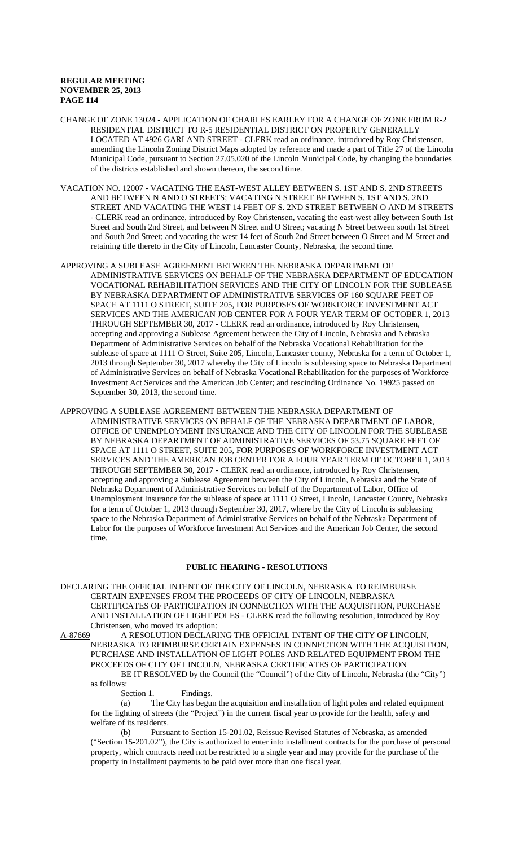- CHANGE OF ZONE 13024 APPLICATION OF CHARLES EARLEY FOR A CHANGE OF ZONE FROM R-2 RESIDENTIAL DISTRICT TO R-5 RESIDENTIAL DISTRICT ON PROPERTY GENERALLY LOCATED AT 4926 GARLAND STREET - CLERK read an ordinance, introduced by Roy Christensen, amending the Lincoln Zoning District Maps adopted by reference and made a part of Title 27 of the Lincoln Municipal Code, pursuant to Section 27.05.020 of the Lincoln Municipal Code, by changing the boundaries of the districts established and shown thereon, the second time.
- VACATION NO. 12007 VACATING THE EAST-WEST ALLEY BETWEEN S. 1ST AND S. 2ND STREETS AND BETWEEN N AND O STREETS; VACATING N STREET BETWEEN S. 1ST AND S. 2ND STREET AND VACATING THE WEST 14 FEET OF S. 2ND STREET BETWEEN O AND M STREETS - CLERK read an ordinance, introduced by Roy Christensen, vacating the east-west alley between South 1st Street and South 2nd Street, and between N Street and O Street; vacating N Street between south 1st Street and South 2nd Street; and vacating the west 14 feet of South 2nd Street between O Street and M Street and retaining title thereto in the City of Lincoln, Lancaster County, Nebraska, the second time.
- APPROVING A SUBLEASE AGREEMENT BETWEEN THE NEBRASKA DEPARTMENT OF ADMINISTRATIVE SERVICES ON BEHALF OF THE NEBRASKA DEPARTMENT OF EDUCATION VOCATIONAL REHABILITATION SERVICES AND THE CITY OF LINCOLN FOR THE SUBLEASE BY NEBRASKA DEPARTMENT OF ADMINISTRATIVE SERVICES OF 160 SQUARE FEET OF SPACE AT 1111 O STREET, SUITE 205, FOR PURPOSES OF WORKFORCE INVESTMENT ACT SERVICES AND THE AMERICAN JOB CENTER FOR A FOUR YEAR TERM OF OCTOBER 1, 2013 THROUGH SEPTEMBER 30, 2017 - CLERK read an ordinance, introduced by Roy Christensen, accepting and approving a Sublease Agreement between the City of Lincoln, Nebraska and Nebraska Department of Administrative Services on behalf of the Nebraska Vocational Rehabilitation for the sublease of space at 1111 O Street, Suite 205, Lincoln, Lancaster county, Nebraska for a term of October 1, 2013 through September 30, 2017 whereby the City of Lincoln is subleasing space to Nebraska Department of Administrative Services on behalf of Nebraska Vocational Rehabilitation for the purposes of Workforce Investment Act Services and the American Job Center; and rescinding Ordinance No. 19925 passed on September 30, 2013, the second time.
- APPROVING A SUBLEASE AGREEMENT BETWEEN THE NEBRASKA DEPARTMENT OF ADMINISTRATIVE SERVICES ON BEHALF OF THE NEBRASKA DEPARTMENT OF LABOR, OFFICE OF UNEMPLOYMENT INSURANCE AND THE CITY OF LINCOLN FOR THE SUBLEASE BY NEBRASKA DEPARTMENT OF ADMINISTRATIVE SERVICES OF 53.75 SOUARE FEET OF SPACE AT 1111 O STREET, SUITE 205, FOR PURPOSES OF WORKFORCE INVESTMENT ACT SERVICES AND THE AMERICAN JOB CENTER FOR A FOUR YEAR TERM OF OCTOBER 1, 2013 THROUGH SEPTEMBER 30, 2017 - CLERK read an ordinance, introduced by Roy Christensen, accepting and approving a Sublease Agreement between the City of Lincoln, Nebraska and the State of Nebraska Department of Administrative Services on behalf of the Department of Labor, Office of Unemployment Insurance for the sublease of space at 1111 O Street, Lincoln, Lancaster County, Nebraska for a term of October 1, 2013 through September 30, 2017, where by the City of Lincoln is subleasing space to the Nebraska Department of Administrative Services on behalf of the Nebraska Department of Labor for the purposes of Workforce Investment Act Services and the American Job Center, the second time.

# **PUBLIC HEARING - RESOLUTIONS**

DECLARING THE OFFICIAL INTENT OF THE CITY OF LINCOLN, NEBRASKA TO REIMBURSE CERTAIN EXPENSES FROM THE PROCEEDS OF CITY OF LINCOLN, NEBRASKA CERTIFICATES OF PARTICIPATION IN CONNECTION WITH THE ACQUISITION, PURCHASE AND INSTALLATION OF LIGHT POLES - CLERK read the following resolution, introduced by Roy Christensen, who moved its adoption:

A-87669 A RESOLUTION DECLARING THE OFFICIAL INTENT OF THE CITY OF LINCOLN, NEBRASKA TO REIMBURSE CERTAIN EXPENSES IN CONNECTION WITH THE ACQUISITION, PURCHASE AND INSTALLATION OF LIGHT POLES AND RELATED EQUIPMENT FROM THE PROCEEDS OF CITY OF LINCOLN, NEBRASKA CERTIFICATES OF PARTICIPATION BE IT RESOLVED by the Council (the "Council") of the City of Lincoln, Nebraska (the "City")

as follows:

Section 1. Findings.

(a) The City has begun the acquisition and installation of light poles and related equipment for the lighting of streets (the "Project") in the current fiscal year to provide for the health, safety and welfare of its residents.

(b) Pursuant to Section 15-201.02, Reissue Revised Statutes of Nebraska, as amended ("Section 15-201.02"), the City is authorized to enter into installment contracts for the purchase of personal property, which contracts need not be restricted to a single year and may provide for the purchase of the property in installment payments to be paid over more than one fiscal year.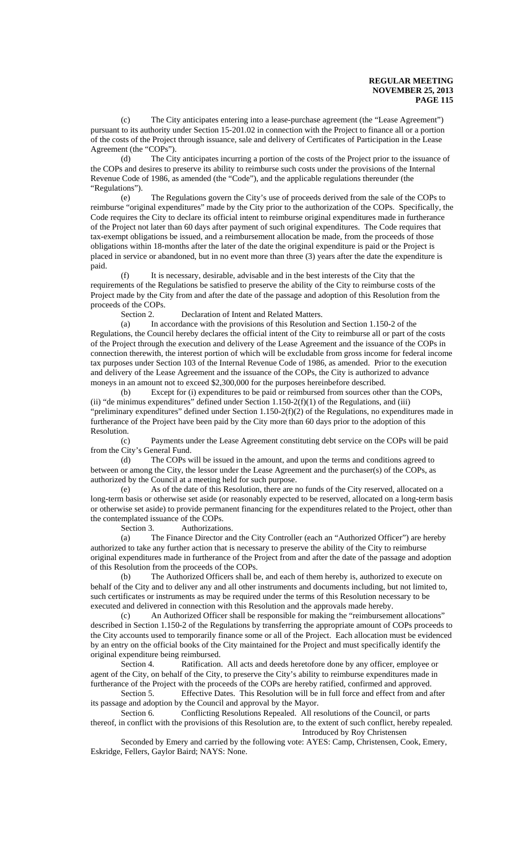(c) The City anticipates entering into a lease-purchase agreement (the "Lease Agreement") pursuant to its authority under Section 15-201.02 in connection with the Project to finance all or a portion of the costs of the Project through issuance, sale and delivery of Certificates of Participation in the Lease Agreement (the "COPs").

(d) The City anticipates incurring a portion of the costs of the Project prior to the issuance of the COPs and desires to preserve its ability to reimburse such costs under the provisions of the Internal Revenue Code of 1986, as amended (the "Code"), and the applicable regulations thereunder (the "Regulations").

(e) The Regulations govern the City's use of proceeds derived from the sale of the COPs to reimburse "original expenditures" made by the City prior to the authorization of the COPs. Specifically, the Code requires the City to declare its official intent to reimburse original expenditures made in furtherance of the Project not later than 60 days after payment of such original expenditures. The Code requires that tax-exempt obligations be issued, and a reimbursement allocation be made, from the proceeds of those obligations within 18-months after the later of the date the original expenditure is paid or the Project is placed in service or abandoned, but in no event more than three (3) years after the date the expenditure is paid.

It is necessary, desirable, advisable and in the best interests of the City that the requirements of the Regulations be satisfied to preserve the ability of the City to reimburse costs of the Project made by the City from and after the date of the passage and adoption of this Resolution from the proceeds of the COPs.

Section 2. Declaration of Intent and Related Matters.

(a) In accordance with the provisions of this Resolution and Section 1.150-2 of the Regulations, the Council hereby declares the official intent of the City to reimburse all or part of the costs of the Project through the execution and delivery of the Lease Agreement and the issuance of the COPs in connection therewith, the interest portion of which will be excludable from gross income for federal income tax purposes under Section 103 of the Internal Revenue Code of 1986, as amended. Prior to the execution and delivery of the Lease Agreement and the issuance of the COPs, the City is authorized to advance moneys in an amount not to exceed \$2,300,000 for the purposes hereinbefore described.

(b) Except for (i) expenditures to be paid or reimbursed from sources other than the COPs, (ii) "de minimus expenditures" defined under Section  $1.150-2(f)(1)$  of the Regulations, and (iii) "preliminary expenditures" defined under Section 1.150-2(f)(2) of the Regulations, no expenditures made in furtherance of the Project have been paid by the City more than 60 days prior to the adoption of this Resolution.

(c) Payments under the Lease Agreement constituting debt service on the COPs will be paid from the City's General Fund.

(d) The COPs will be issued in the amount, and upon the terms and conditions agreed to between or among the City, the lessor under the Lease Agreement and the purchaser(s) of the COPs, as authorized by the Council at a meeting held for such purpose.

(e) As of the date of this Resolution, there are no funds of the City reserved, allocated on a long-term basis or otherwise set aside (or reasonably expected to be reserved, allocated on a long-term basis or otherwise set aside) to provide permanent financing for the expenditures related to the Project, other than the contemplated issuance of the COPs.

Section 3. Authorizations.

(a) The Finance Director and the City Controller (each an "Authorized Officer") are hereby authorized to take any further action that is necessary to preserve the ability of the City to reimburse original expenditures made in furtherance of the Project from and after the date of the passage and adoption of this Resolution from the proceeds of the COPs.

(b) The Authorized Officers shall be, and each of them hereby is, authorized to execute on behalf of the City and to deliver any and all other instruments and documents including, but not limited to, such certificates or instruments as may be required under the terms of this Resolution necessary to be executed and delivered in connection with this Resolution and the approvals made hereby.

(c) An Authorized Officer shall be responsible for making the "reimbursement allocations" described in Section 1.150-2 of the Regulations by transferring the appropriate amount of COPs proceeds to the City accounts used to temporarily finance some or all of the Project. Each allocation must be evidenced by an entry on the official books of the City maintained for the Project and must specifically identify the original expenditure being reimbursed.

Section 4. Ratification. All acts and deeds heretofore done by any officer, employee or agent of the City, on behalf of the City, to preserve the City's ability to reimburse expenditures made in furtherance of the Project with the proceeds of the COPs are hereby ratified, confirmed and approved.

Section 5. Effective Dates. This Resolution will be in full force and effect from and after its passage and adoption by the Council and approval by the Mayor.

Section 6. Conflicting Resolutions Repealed. All resolutions of the Council, or parts thereof, in conflict with the provisions of this Resolution are, to the extent of such conflict, hereby repealed. Introduced by Roy Christensen

Seconded by Emery and carried by the following vote: AYES: Camp, Christensen, Cook, Emery, Eskridge, Fellers, Gaylor Baird; NAYS: None.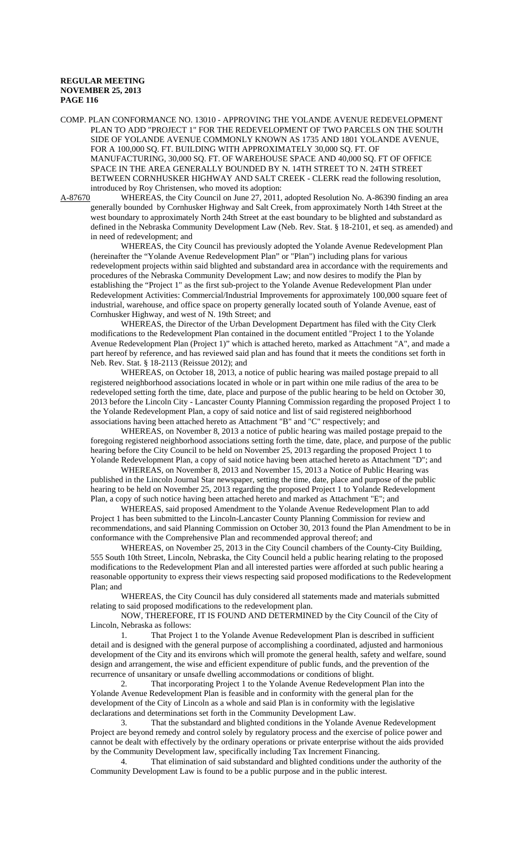COMP. PLAN CONFORMANCE NO. 13010 - APPROVING THE YOLANDE AVENUE REDEVELOPMENT PLAN TO ADD "PROJECT 1" FOR THE REDEVELOPMENT OF TWO PARCELS ON THE SOUTH SIDE OF YOLANDE AVENUE COMMONLY KNOWN AS 1735 AND 1801 YOLANDE AVENUE, FOR A 100,000 SQ. FT. BUILDING WITH APPROXIMATELY 30,000 SQ. FT. OF MANUFACTURING, 30,000 SQ. FT. OF WAREHOUSE SPACE AND 40,000 SQ. FT OF OFFICE SPACE IN THE AREA GENERALLY BOUNDED BY N. 14TH STREET TO N. 24TH STREET BETWEEN CORNHUSKER HIGHWAY AND SALT CREEK - CLERK read the following resolution, introduced by Roy Christensen, who moved its adoption:<br>A-87670 WHEREAS, the City Council on June 27, 2011,

WHEREAS, the City Council on June 27, 2011, adopted Resolution No. A-86390 finding an area generally bounded by Cornhusker Highway and Salt Creek, from approximately North 14th Street at the west boundary to approximately North 24th Street at the east boundary to be blighted and substandard as defined in the Nebraska Community Development Law (Neb. Rev. Stat. § 18-2101, et seq. as amended) and in need of redevelopment; and

WHEREAS, the City Council has previously adopted the Yolande Avenue Redevelopment Plan (hereinafter the "Yolande Avenue Redevelopment Plan" or "Plan") including plans for various redevelopment projects within said blighted and substandard area in accordance with the requirements and procedures of the Nebraska Community Development Law; and now desires to modify the Plan by establishing the "Project 1" as the first sub-project to the Yolande Avenue Redevelopment Plan under Redevelopment Activities: Commercial/Industrial Improvements for approximately 100,000 square feet of industrial, warehouse, and office space on property generally located south of Yolande Avenue, east of Cornhusker Highway, and west of N. 19th Street; and

WHEREAS, the Director of the Urban Development Department has filed with the City Clerk modifications to the Redevelopment Plan contained in the document entitled "Project 1 to the Yolande Avenue Redevelopment Plan (Project 1)" which is attached hereto, marked as Attachment "A", and made a part hereof by reference, and has reviewed said plan and has found that it meets the conditions set forth in Neb. Rev. Stat. § 18-2113 (Reissue 2012); and

WHEREAS, on October 18, 2013, a notice of public hearing was mailed postage prepaid to all registered neighborhood associations located in whole or in part within one mile radius of the area to be redeveloped setting forth the time, date, place and purpose of the public hearing to be held on October 30, 2013 before the Lincoln City - Lancaster County Planning Commission regarding the proposed Project 1 to the Yolande Redevelopment Plan, a copy of said notice and list of said registered neighborhood associations having been attached hereto as Attachment "B" and "C" respectively; and

WHEREAS, on November 8, 2013 a notice of public hearing was mailed postage prepaid to the foregoing registered neighborhood associations setting forth the time, date, place, and purpose of the public hearing before the City Council to be held on November 25, 2013 regarding the proposed Project 1 to Yolande Redevelopment Plan, a copy of said notice having been attached hereto as Attachment "D"; and

WHEREAS, on November 8, 2013 and November 15, 2013 a Notice of Public Hearing was published in the Lincoln Journal Star newspaper, setting the time, date, place and purpose of the public hearing to be held on November 25, 2013 regarding the proposed Project 1 to Yolande Redevelopment Plan, a copy of such notice having been attached hereto and marked as Attachment "E"; and

WHEREAS, said proposed Amendment to the Yolande Avenue Redevelopment Plan to add Project 1 has been submitted to the Lincoln-Lancaster County Planning Commission for review and recommendations, and said Planning Commission on October 30, 2013 found the Plan Amendment to be in conformance with the Comprehensive Plan and recommended approval thereof; and

WHEREAS, on November 25, 2013 in the City Council chambers of the County-City Building, 555 South 10th Street, Lincoln, Nebraska, the City Council held a public hearing relating to the proposed modifications to the Redevelopment Plan and all interested parties were afforded at such public hearing a reasonable opportunity to express their views respecting said proposed modifications to the Redevelopment Plan; and

WHEREAS, the City Council has duly considered all statements made and materials submitted relating to said proposed modifications to the redevelopment plan.

NOW, THEREFORE, IT IS FOUND AND DETERMINED by the City Council of the City of Lincoln, Nebraska as follows:

1. That Project 1 to the Yolande Avenue Redevelopment Plan is described in sufficient detail and is designed with the general purpose of accomplishing a coordinated, adjusted and harmonious development of the City and its environs which will promote the general health, safety and welfare, sound design and arrangement, the wise and efficient expenditure of public funds, and the prevention of the recurrence of unsanitary or unsafe dwelling accommodations or conditions of blight.

2. That incorporating Project 1 to the Yolande Avenue Redevelopment Plan into the Yolande Avenue Redevelopment Plan is feasible and in conformity with the general plan for the development of the City of Lincoln as a whole and said Plan is in conformity with the legislative declarations and determinations set forth in the Community Development Law.

3. That the substandard and blighted conditions in the Yolande Avenue Redevelopment Project are beyond remedy and control solely by regulatory process and the exercise of police power and cannot be dealt with effectively by the ordinary operations or private enterprise without the aids provided by the Community Development law, specifically including Tax Increment Financing.

4. That elimination of said substandard and blighted conditions under the authority of the Community Development Law is found to be a public purpose and in the public interest.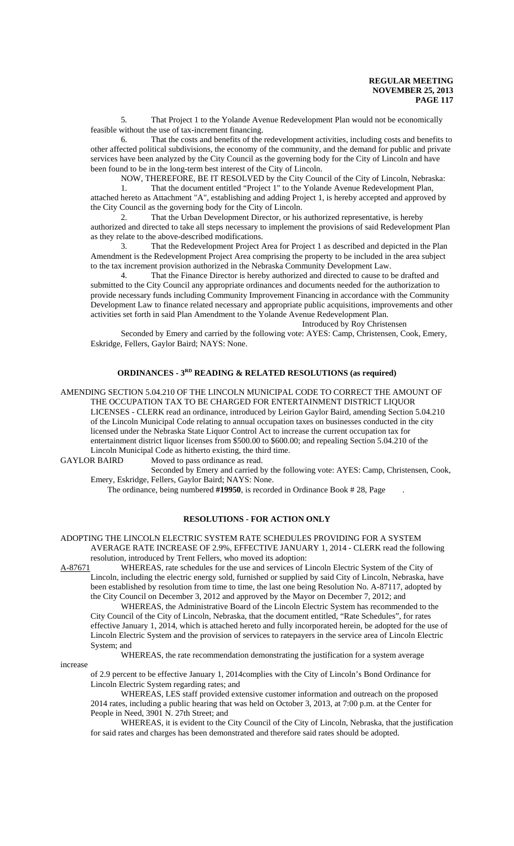5. That Project 1 to the Yolande Avenue Redevelopment Plan would not be economically feasible without the use of tax-increment financing.

6. That the costs and benefits of the redevelopment activities, including costs and benefits to other affected political subdivisions, the economy of the community, and the demand for public and private services have been analyzed by the City Council as the governing body for the City of Lincoln and have been found to be in the long-term best interest of the City of Lincoln.

NOW, THEREFORE, BE IT RESOLVED by the City Council of the City of Lincoln, Nebraska:

1. That the document entitled "Project 1" to the Yolande Avenue Redevelopment Plan, attached hereto as Attachment "A", establishing and adding Project 1, is hereby accepted and approved by the City Council as the governing body for the City of Lincoln.

2. That the Urban Development Director, or his authorized representative, is hereby authorized and directed to take all steps necessary to implement the provisions of said Redevelopment Plan as they relate to the above-described modifications.

3. That the Redevelopment Project Area for Project 1 as described and depicted in the Plan Amendment is the Redevelopment Project Area comprising the property to be included in the area subject to the tax increment provision authorized in the Nebraska Community Development Law.

4. That the Finance Director is hereby authorized and directed to cause to be drafted and submitted to the City Council any appropriate ordinances and documents needed for the authorization to provide necessary funds including Community Improvement Financing in accordance with the Community Development Law to finance related necessary and appropriate public acquisitions, improvements and other activities set forth in said Plan Amendment to the Yolande Avenue Redevelopment Plan.

Introduced by Roy Christensen

Seconded by Emery and carried by the following vote: AYES: Camp, Christensen, Cook, Emery, Eskridge, Fellers, Gaylor Baird; NAYS: None.

# **ORDINANCES - 3RD READING & RELATED RESOLUTIONS (as required)**

AMENDING SECTION 5.04.210 OF THE LINCOLN MUNICIPAL CODE TO CORRECT THE AMOUNT OF THE OCCUPATION TAX TO BE CHARGED FOR ENTERTAINMENT DISTRICT LIQUOR

LICENSES - CLERK read an ordinance, introduced by Leirion Gaylor Baird, amending Section 5.04.210 of the Lincoln Municipal Code relating to annual occupation taxes on businesses conducted in the city licensed under the Nebraska State Liquor Control Act to increase the current occupation tax for entertainment district liquor licenses from \$500.00 to \$600.00; and repealing Section 5.04.210 of the Lincoln Municipal Code as hitherto existing, the third time.

GAYLOR BAIRD Moved to pass ordinance as read.

Seconded by Emery and carried by the following vote: AYES: Camp, Christensen, Cook, Emery, Eskridge, Fellers, Gaylor Baird; NAYS: None.

The ordinance, being numbered **#19950**, is recorded in Ordinance Book # 28, Page .

### **RESOLUTIONS - FOR ACTION ONLY**

ADOPTING THE LINCOLN ELECTRIC SYSTEM RATE SCHEDULES PROVIDING FOR A SYSTEM AVERAGE RATE INCREASE OF 2.9%, EFFECTIVE JANUARY 1, 2014 - CLERK read the following resolution, introduced by Trent Fellers, who moved its adoption:

A-87671 WHEREAS, rate schedules for the use and services of Lincoln Electric System of the City of Lincoln, including the electric energy sold, furnished or supplied by said City of Lincoln, Nebraska, have been established by resolution from time to time, the last one being Resolution No. A-87117, adopted by the City Council on December 3, 2012 and approved by the Mayor on December 7, 2012; and

WHEREAS, the Administrative Board of the Lincoln Electric System has recommended to the City Council of the City of Lincoln, Nebraska, that the document entitled, "Rate Schedules", for rates effective January 1, 2014, which is attached hereto and fully incorporated herein, be adopted for the use of Lincoln Electric System and the provision of services to ratepayers in the service area of Lincoln Electric System; and

WHEREAS, the rate recommendation demonstrating the justification for a system average

#### increase

of 2.9 percent to be effective January 1, 2014complies with the City of Lincoln's Bond Ordinance for Lincoln Electric System regarding rates; and

WHEREAS, LES staff provided extensive customer information and outreach on the proposed 2014 rates, including a public hearing that was held on October 3, 2013, at 7:00 p.m. at the Center for People in Need, 3901 N. 27th Street; and

WHEREAS, it is evident to the City Council of the City of Lincoln, Nebraska, that the justification for said rates and charges has been demonstrated and therefore said rates should be adopted.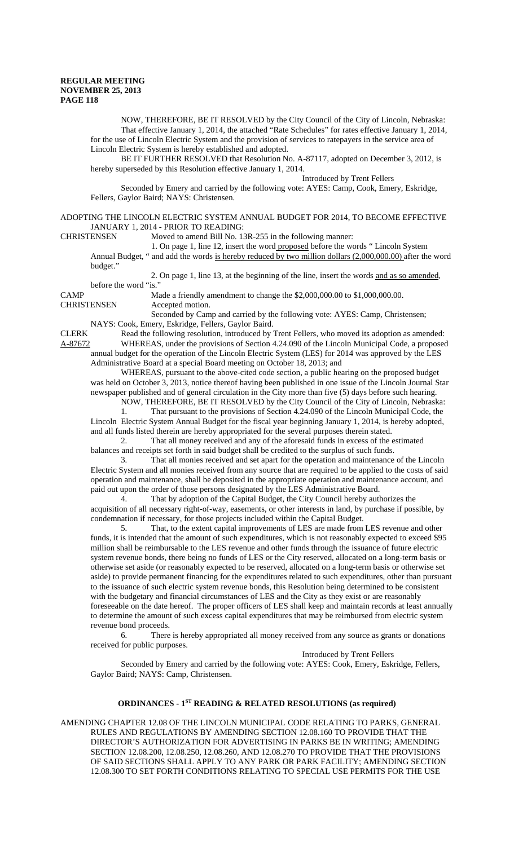NOW, THEREFORE, BE IT RESOLVED by the City Council of the City of Lincoln, Nebraska: That effective January 1, 2014, the attached "Rate Schedules" for rates effective January 1, 2014, for the use of Lincoln Electric System and the provision of services to ratepayers in the service area of Lincoln Electric System is hereby established and adopted.

BE IT FURTHER RESOLVED that Resolution No. A-87117, adopted on December 3, 2012, is hereby superseded by this Resolution effective January 1, 2014.

Introduced by Trent Fellers

Seconded by Emery and carried by the following vote: AYES: Camp, Cook, Emery, Eskridge, Fellers, Gaylor Baird; NAYS: Christensen.

ADOPTING THE LINCOLN ELECTRIC SYSTEM ANNUAL BUDGET FOR 2014, TO BECOME EFFECTIVE JANUARY 1, 2014 - PRIOR TO READING:

CHRISTENSEN Moved to amend Bill No. 13R-255 in the following manner:

1. On page 1, line 12, insert the word proposed before the words " Lincoln System Annual Budget, " and add the words is hereby reduced by two million dollars (2,000,000.00) after the word

budget."

2. On page 1, line 13, at the beginning of the line, insert the words and as so amended,

before the word "is."

CAMP Made a friendly amendment to change the \$2,000,000.00 to \$1,000,000.00. CHRISTENSEN Accepted motion.

Seconded by Camp and carried by the following vote: AYES: Camp, Christensen; NAYS: Cook, Emery, Eskridge, Fellers, Gaylor Baird.

CLERK Read the following resolution, introduced by Trent Fellers, who moved its adoption as amended: A-87672 WHEREAS, under the provisions of Section 4.24.090 of the Lincoln Municipal Code, a proposed annual budget for the operation of the Lincoln Electric System (LES) for 2014 was approved by the LES Administrative Board at a special Board meeting on October 18, 2013; and

WHEREAS, pursuant to the above-cited code section, a public hearing on the proposed budget was held on October 3, 2013, notice thereof having been published in one issue of the Lincoln Journal Star newspaper published and of general circulation in the City more than five (5) days before such hearing. NOW, THEREFORE, BE IT RESOLVED by the City Council of the City of Lincoln, Nebraska:

1. That pursuant to the provisions of Section 4.24.090 of the Lincoln Municipal Code, the Lincoln Electric System Annual Budget for the fiscal year beginning January 1, 2014, is hereby adopted, and all funds listed therein are hereby appropriated for the several purposes therein stated.

2. That all money received and any of the aforesaid funds in excess of the estimated balances and receipts set forth in said budget shall be credited to the surplus of such funds.

3. That all monies received and set apart for the operation and maintenance of the Lincoln Electric System and all monies received from any source that are required to be applied to the costs of said operation and maintenance, shall be deposited in the appropriate operation and maintenance account, and paid out upon the order of those persons designated by the LES Administrative Board.

4. That by adoption of the Capital Budget, the City Council hereby authorizes the acquisition of all necessary right-of-way, easements, or other interests in land, by purchase if possible, by condemnation if necessary, for those projects included within the Capital Budget.

5. That, to the extent capital improvements of LES are made from LES revenue and other funds, it is intended that the amount of such expenditures, which is not reasonably expected to exceed \$95 million shall be reimbursable to the LES revenue and other funds through the issuance of future electric system revenue bonds, there being no funds of LES or the City reserved, allocated on a long-term basis or otherwise set aside (or reasonably expected to be reserved, allocated on a long-term basis or otherwise set aside) to provide permanent financing for the expenditures related to such expenditures, other than pursuant to the issuance of such electric system revenue bonds, this Resolution being determined to be consistent with the budgetary and financial circumstances of LES and the City as they exist or are reasonably foreseeable on the date hereof. The proper officers of LES shall keep and maintain records at least annually to determine the amount of such excess capital expenditures that may be reimbursed from electric system revenue bond proceeds.

6. There is hereby appropriated all money received from any source as grants or donations received for public purposes.

Introduced by Trent Fellers

Seconded by Emery and carried by the following vote: AYES: Cook, Emery, Eskridge, Fellers, Gaylor Baird; NAYS: Camp, Christensen.

# **ORDINANCES - 1<sup>ST</sup> READING & RELATED RESOLUTIONS (as required)**

AMENDING CHAPTER 12.08 OF THE LINCOLN MUNICIPAL CODE RELATING TO PARKS, GENERAL RULES AND REGULATIONS BY AMENDING SECTION 12.08.160 TO PROVIDE THAT THE DIRECTOR'S AUTHORIZATION FOR ADVERTISING IN PARKS BE IN WRITING; AMENDING SECTION 12.08.200, 12.08.250, 12.08.260, AND 12.08.270 TO PROVIDE THAT THE PROVISIONS OF SAID SECTIONS SHALL APPLY TO ANY PARK OR PARK FACILITY; AMENDING SECTION 12.08.300 TO SET FORTH CONDITIONS RELATING TO SPECIAL USE PERMITS FOR THE USE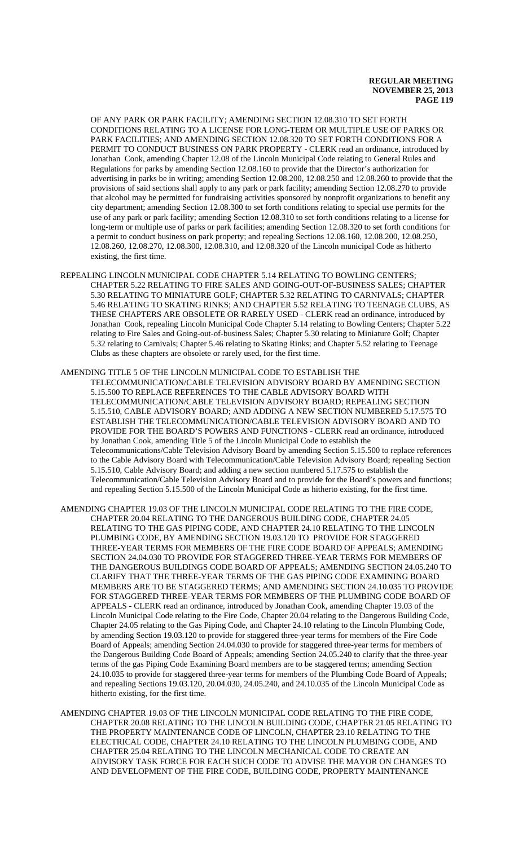OF ANY PARK OR PARK FACILITY; AMENDING SECTION 12.08.310 TO SET FORTH CONDITIONS RELATING TO A LICENSE FOR LONG-TERM OR MULTIPLE USE OF PARKS OR PARK FACILITIES; AND AMENDING SECTION 12.08.320 TO SET FORTH CONDITIONS FOR A PERMIT TO CONDUCT BUSINESS ON PARK PROPERTY - CLERK read an ordinance, introduced by Jonathan Cook, amending Chapter 12.08 of the Lincoln Municipal Code relating to General Rules and Regulations for parks by amending Section 12.08.160 to provide that the Director's authorization for advertising in parks be in writing; amending Section 12.08.200, 12.08.250 and 12.08.260 to provide that the provisions of said sections shall apply to any park or park facility; amending Section 12.08.270 to provide that alcohol may be permitted for fundraising activities sponsored by nonprofit organizations to benefit any city department; amending Section 12.08.300 to set forth conditions relating to special use permits for the use of any park or park facility; amending Section 12.08.310 to set forth conditions relating to a license for long-term or multiple use of parks or park facilities; amending Section 12.08.320 to set forth conditions for a permit to conduct business on park property; and repealing Sections 12.08.160, 12.08.200, 12.08.250, 12.08.260, 12.08.270, 12.08.300, 12.08.310, and 12.08.320 of the Lincoln municipal Code as hitherto existing, the first time.

REPEALING LINCOLN MUNICIPAL CODE CHAPTER 5.14 RELATING TO BOWLING CENTERS; CHAPTER 5.22 RELATING TO FIRE SALES AND GOING-OUT-OF-BUSINESS SALES; CHAPTER 5.30 RELATING TO MINIATURE GOLF; CHAPTER 5.32 RELATING TO CARNIVALS; CHAPTER 5.46 RELATING TO SKATING RINKS; AND CHAPTER 5.52 RELATING TO TEENAGE CLUBS, AS THESE CHAPTERS ARE OBSOLETE OR RARELY USED - CLERK read an ordinance, introduced by Jonathan Cook, repealing Lincoln Municipal Code Chapter 5.14 relating to Bowling Centers; Chapter 5.22 relating to Fire Sales and Going-out-of-business Sales; Chapter 5.30 relating to Miniature Golf; Chapter 5.32 relating to Carnivals; Chapter 5.46 relating to Skating Rinks; and Chapter 5.52 relating to Teenage Clubs as these chapters are obsolete or rarely used, for the first time.

## AMENDING TITLE 5 OF THE LINCOLN MUNICIPAL CODE TO ESTABLISH THE

TELECOMMUNICATION/CABLE TELEVISION ADVISORY BOARD BY AMENDING SECTION 5.15.500 TO REPLACE REFERENCES TO THE CABLE ADVISORY BOARD WITH TELECOMMUNICATION/CABLE TELEVISION ADVISORY BOARD; REPEALING SECTION 5.15.510, CABLE ADVISORY BOARD; AND ADDING A NEW SECTION NUMBERED 5.17.575 TO ESTABLISH THE TELECOMMUNICATION/CABLE TELEVISION ADVISORY BOARD AND TO PROVIDE FOR THE BOARD'S POWERS AND FUNCTIONS - CLERK read an ordinance, introduced by Jonathan Cook, amending Title 5 of the Lincoln Municipal Code to establish the Telecommunications/Cable Television Advisory Board by amending Section 5.15.500 to replace references to the Cable Advisory Board with Telecommunication/Cable Television Advisory Board; repealing Section 5.15.510, Cable Advisory Board; and adding a new section numbered 5.17.575 to establish the Telecommunication/Cable Television Advisory Board and to provide for the Board's powers and functions; and repealing Section 5.15.500 of the Lincoln Municipal Code as hitherto existing, for the first time.

- AMENDING CHAPTER 19.03 OF THE LINCOLN MUNICIPAL CODE RELATING TO THE FIRE CODE, CHAPTER 20.04 RELATING TO THE DANGEROUS BUILDING CODE, CHAPTER 24.05 RELATING TO THE GAS PIPING CODE, AND CHAPTER 24.10 RELATING TO THE LINCOLN PLUMBING CODE, BY AMENDING SECTION 19.03.120 TO PROVIDE FOR STAGGERED THREE-YEAR TERMS FOR MEMBERS OF THE FIRE CODE BOARD OF APPEALS; AMENDING SECTION 24.04.030 TO PROVIDE FOR STAGGERED THREE-YEAR TERMS FOR MEMBERS OF THE DANGEROUS BUILDINGS CODE BOARD OF APPEALS; AMENDING SECTION 24.05.240 TO CLARIFY THAT THE THREE-YEAR TERMS OF THE GAS PIPING CODE EXAMINING BOARD MEMBERS ARE TO BE STAGGERED TERMS; AND AMENDING SECTION 24.10.035 TO PROVIDE FOR STAGGERED THREE-YEAR TERMS FOR MEMBERS OF THE PLUMBING CODE BOARD OF APPEALS - CLERK read an ordinance, introduced by Jonathan Cook, amending Chapter 19.03 of the Lincoln Municipal Code relating to the Fire Code, Chapter 20.04 relating to the Dangerous Building Code, Chapter 24.05 relating to the Gas Piping Code, and Chapter 24.10 relating to the Lincoln Plumbing Code, by amending Section 19.03.120 to provide for staggered three-year terms for members of the Fire Code Board of Appeals; amending Section 24.04.030 to provide for staggered three-year terms for members of the Dangerous Building Code Board of Appeals; amending Section 24.05.240 to clarify that the three-year terms of the gas Piping Code Examining Board members are to be staggered terms; amending Section 24.10.035 to provide for staggered three-year terms for members of the Plumbing Code Board of Appeals; and repealing Sections 19.03.120, 20.04.030, 24.05.240, and 24.10.035 of the Lincoln Municipal Code as hitherto existing, for the first time.
- AMENDING CHAPTER 19.03 OF THE LINCOLN MUNICIPAL CODE RELATING TO THE FIRE CODE, CHAPTER 20.08 RELATING TO THE LINCOLN BUILDING CODE, CHAPTER 21.05 RELATING TO THE PROPERTY MAINTENANCE CODE OF LINCOLN, CHAPTER 23.10 RELATING TO THE ELECTRICAL CODE, CHAPTER 24.10 RELATING TO THE LINCOLN PLUMBING CODE, AND CHAPTER 25.04 RELATING TO THE LINCOLN MECHANICAL CODE TO CREATE AN ADVISORY TASK FORCE FOR EACH SUCH CODE TO ADVISE THE MAYOR ON CHANGES TO AND DEVELOPMENT OF THE FIRE CODE, BUILDING CODE, PROPERTY MAINTENANCE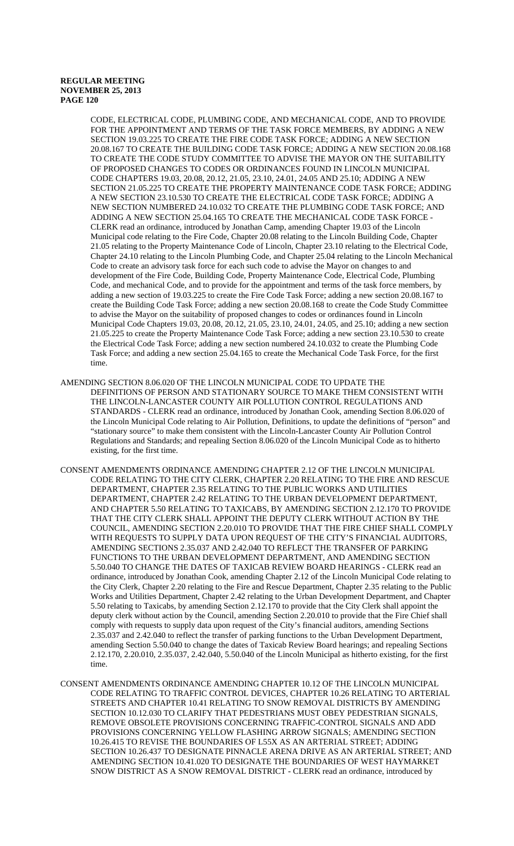CODE, ELECTRICAL CODE, PLUMBING CODE, AND MECHANICAL CODE, AND TO PROVIDE FOR THE APPOINTMENT AND TERMS OF THE TASK FORCE MEMBERS, BY ADDING A NEW SECTION 19.03.225 TO CREATE THE FIRE CODE TASK FORCE; ADDING A NEW SECTION 20.08.167 TO CREATE THE BUILDING CODE TASK FORCE; ADDING A NEW SECTION 20.08.168 TO CREATE THE CODE STUDY COMMITTEE TO ADVISE THE MAYOR ON THE SUITABILITY OF PROPOSED CHANGES TO CODES OR ORDINANCES FOUND IN LINCOLN MUNICIPAL CODE CHAPTERS 19.03, 20.08, 20.12, 21.05, 23.10, 24.01, 24.05 AND 25.10; ADDING A NEW SECTION 21.05.225 TO CREATE THE PROPERTY MAINTENANCE CODE TASK FORCE; ADDING A NEW SECTION 23.10.530 TO CREATE THE ELECTRICAL CODE TASK FORCE; ADDING A NEW SECTION NUMBERED 24.10.032 TO CREATE THE PLUMBING CODE TASK FORCE; AND ADDING A NEW SECTION 25.04.165 TO CREATE THE MECHANICAL CODE TASK FORCE - CLERK read an ordinance, introduced by Jonathan Camp, amending Chapter 19.03 of the Lincoln Municipal code relating to the Fire Code, Chapter 20.08 relating to the Lincoln Building Code, Chapter 21.05 relating to the Property Maintenance Code of Lincoln, Chapter 23.10 relating to the Electrical Code, Chapter 24.10 relating to the Lincoln Plumbing Code, and Chapter 25.04 relating to the Lincoln Mechanical Code to create an advisory task force for each such code to advise the Mayor on changes to and development of the Fire Code, Building Code, Property Maintenance Code, Electrical Code, Plumbing Code, and mechanical Code, and to provide for the appointment and terms of the task force members, by adding a new section of 19.03.225 to create the Fire Code Task Force; adding a new section 20.08.167 to create the Building Code Task Force; adding a new section 20.08.168 to create the Code Study Committee to advise the Mayor on the suitability of proposed changes to codes or ordinances found in Lincoln Municipal Code Chapters 19.03, 20.08, 20.12, 21.05, 23.10, 24.01, 24.05, and 25.10; adding a new section 21.05.225 to create the Property Maintenance Code Task Force; adding a new section 23.10.530 to create the Electrical Code Task Force; adding a new section numbered 24.10.032 to create the Plumbing Code Task Force; and adding a new section 25.04.165 to create the Mechanical Code Task Force, for the first time.

- AMENDING SECTION 8.06.020 OF THE LINCOLN MUNICIPAL CODE TO UPDATE THE DEFINITIONS OF PERSON AND STATIONARY SOURCE TO MAKE THEM CONSISTENT WITH THE LINCOLN-LANCASTER COUNTY AIR POLLUTION CONTROL REGULATIONS AND STANDARDS - CLERK read an ordinance, introduced by Jonathan Cook, amending Section 8.06.020 of the Lincoln Municipal Code relating to Air Pollution, Definitions, to update the definitions of "person" and "stationary source" to make them consistent with the Lincoln-Lancaster County Air Pollution Control Regulations and Standards; and repealing Section 8.06.020 of the Lincoln Municipal Code as to hitherto existing, for the first time.
- CONSENT AMENDMENTS ORDINANCE AMENDING CHAPTER 2.12 OF THE LINCOLN MUNICIPAL CODE RELATING TO THE CITY CLERK, CHAPTER 2.20 RELATING TO THE FIRE AND RESCUE DEPARTMENT, CHAPTER 2.35 RELATING TO THE PUBLIC WORKS AND UTILITIES DEPARTMENT, CHAPTER 2.42 RELATING TO THE URBAN DEVELOPMENT DEPARTMENT, AND CHAPTER 5.50 RELATING TO TAXICABS, BY AMENDING SECTION 2.12.170 TO PROVIDE THAT THE CITY CLERK SHALL APPOINT THE DEPUTY CLERK WITHOUT ACTION BY THE COUNCIL, AMENDING SECTION 2.20.010 TO PROVIDE THAT THE FIRE CHIEF SHALL COMPLY WITH REQUESTS TO SUPPLY DATA UPON REQUEST OF THE CITY'S FINANCIAL AUDITORS, AMENDING SECTIONS 2.35.037 AND 2.42.040 TO REFLECT THE TRANSFER OF PARKING FUNCTIONS TO THE URBAN DEVELOPMENT DEPARTMENT, AND AMENDING SECTION 5.50.040 TO CHANGE THE DATES OF TAXICAB REVIEW BOARD HEARINGS - CLERK read an ordinance, introduced by Jonathan Cook, amending Chapter 2.12 of the Lincoln Municipal Code relating to the City Clerk, Chapter 2.20 relating to the Fire and Rescue Department, Chapter 2.35 relating to the Public Works and Utilities Department, Chapter 2.42 relating to the Urban Development Department, and Chapter 5.50 relating to Taxicabs, by amending Section 2.12.170 to provide that the City Clerk shall appoint the deputy clerk without action by the Council, amending Section 2.20.010 to provide that the Fire Chief shall comply with requests to supply data upon request of the City's financial auditors, amending Sections 2.35.037 and 2.42.040 to reflect the transfer of parking functions to the Urban Development Department, amending Section 5.50.040 to change the dates of Taxicab Review Board hearings; and repealing Sections 2.12.170, 2.20.010, 2.35.037, 2.42.040, 5.50.040 of the Lincoln Municipal as hitherto existing, for the first time.
- CONSENT AMENDMENTS ORDINANCE AMENDING CHAPTER 10.12 OF THE LINCOLN MUNICIPAL CODE RELATING TO TRAFFIC CONTROL DEVICES, CHAPTER 10.26 RELATING TO ARTERIAL STREETS AND CHAPTER 10.41 RELATING TO SNOW REMOVAL DISTRICTS BY AMENDING SECTION 10.12.030 TO CLARIFY THAT PEDESTRIANS MUST OBEY PEDESTRIAN SIGNALS, REMOVE OBSOLETE PROVISIONS CONCERNING TRAFFIC-CONTROL SIGNALS AND ADD PROVISIONS CONCERNING YELLOW FLASHING ARROW SIGNALS; AMENDING SECTION 10.26.415 TO REVISE THE BOUNDARIES OF L55X AS AN ARTERIAL STREET; ADDING SECTION 10.26.437 TO DESIGNATE PINNACLE ARENA DRIVE AS AN ARTERIAL STREET; AND AMENDING SECTION 10.41.020 TO DESIGNATE THE BOUNDARIES OF WEST HAYMARKET SNOW DISTRICT AS A SNOW REMOVAL DISTRICT - CLERK read an ordinance, introduced by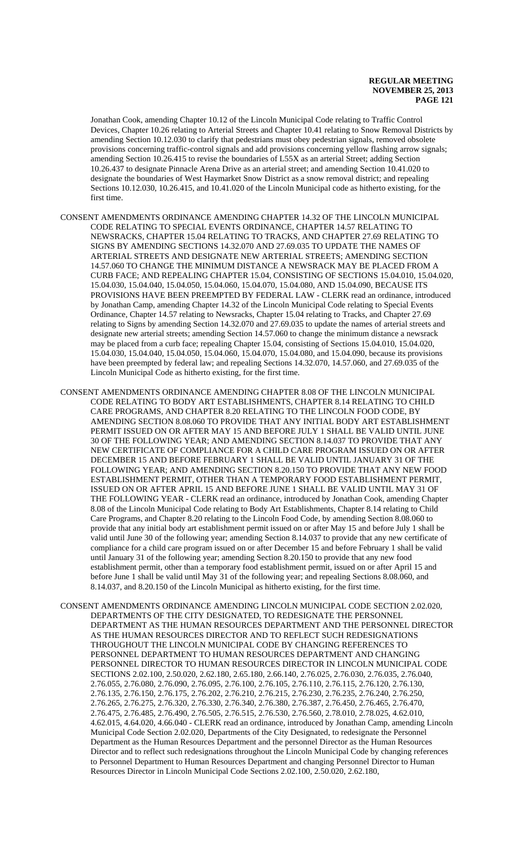Jonathan Cook, amending Chapter 10.12 of the Lincoln Municipal Code relating to Traffic Control Devices, Chapter 10.26 relating to Arterial Streets and Chapter 10.41 relating to Snow Removal Districts by amending Section 10.12.030 to clarify that pedestrians must obey pedestrian signals, removed obsolete provisions concerning traffic-control signals and add provisions concerning yellow flashing arrow signals; amending Section 10.26.415 to revise the boundaries of L55X as an arterial Street; adding Section 10.26.437 to designate Pinnacle Arena Drive as an arterial street; and amending Section 10.41.020 to designate the boundaries of West Haymarket Snow District as a snow removal district; and repealing Sections 10.12.030, 10.26.415, and 10.41.020 of the Lincoln Municipal code as hitherto existing, for the first time.

- CONSENT AMENDMENTS ORDINANCE AMENDING CHAPTER 14.32 OF THE LINCOLN MUNICIPAL CODE RELATING TO SPECIAL EVENTS ORDINANCE, CHAPTER 14.57 RELATING TO NEWSRACKS, CHAPTER 15.04 RELATING TO TRACKS, AND CHAPTER 27.69 RELATING TO SIGNS BY AMENDING SECTIONS 14.32.070 AND 27.69.035 TO UPDATE THE NAMES OF ARTERIAL STREETS AND DESIGNATE NEW ARTERIAL STREETS; AMENDING SECTION 14.57.060 TO CHANGE THE MINIMUM DISTANCE A NEWSRACK MAY BE PLACED FROM A CURB FACE; AND REPEALING CHAPTER 15.04, CONSISTING OF SECTIONS 15.04.010, 15.04.020, 15.04.030, 15.04.040, 15.04.050, 15.04.060, 15.04.070, 15.04.080, AND 15.04.090, BECAUSE ITS PROVISIONS HAVE BEEN PREEMPTED BY FEDERAL LAW - CLERK read an ordinance, introduced by Jonathan Camp, amending Chapter 14.32 of the Lincoln Municipal Code relating to Special Events Ordinance, Chapter 14.57 relating to Newsracks, Chapter 15.04 relating to Tracks, and Chapter 27.69 relating to Signs by amending Section 14.32.070 and 27.69.035 to update the names of arterial streets and designate new arterial streets; amending Section 14.57.060 to change the minimum distance a newsrack may be placed from a curb face; repealing Chapter 15.04, consisting of Sections 15.04.010, 15.04.020, 15.04.030, 15.04.040, 15.04.050, 15.04.060, 15.04.070, 15.04.080, and 15.04.090, because its provisions have been preempted by federal law; and repealing Sections 14.32.070, 14.57.060, and 27.69.035 of the Lincoln Municipal Code as hitherto existing, for the first time.
- CONSENT AMENDMENTS ORDINANCE AMENDING CHAPTER 8.08 OF THE LINCOLN MUNICIPAL CODE RELATING TO BODY ART ESTABLISHMENTS, CHAPTER 8.14 RELATING TO CHILD CARE PROGRAMS, AND CHAPTER 8.20 RELATING TO THE LINCOLN FOOD CODE, BY AMENDING SECTION 8.08.060 TO PROVIDE THAT ANY INITIAL BODY ART ESTABLISHMENT PERMIT ISSUED ON OR AFTER MAY 15 AND BEFORE JULY 1 SHALL BE VALID UNTIL JUNE 30 OF THE FOLLOWING YEAR; AND AMENDING SECTION 8.14.037 TO PROVIDE THAT ANY NEW CERTIFICATE OF COMPLIANCE FOR A CHILD CARE PROGRAM ISSUED ON OR AFTER DECEMBER 15 AND BEFORE FEBRUARY 1 SHALL BE VALID UNTIL JANUARY 31 OF THE FOLLOWING YEAR; AND AMENDING SECTION 8.20.150 TO PROVIDE THAT ANY NEW FOOD ESTABLISHMENT PERMIT, OTHER THAN A TEMPORARY FOOD ESTABLISHMENT PERMIT, ISSUED ON OR AFTER APRIL 15 AND BEFORE JUNE 1 SHALL BE VALID UNTIL MAY 31 OF THE FOLLOWING YEAR - CLERK read an ordinance, introduced by Jonathan Cook, amending Chapter 8.08 of the Lincoln Municipal Code relating to Body Art Establishments, Chapter 8.14 relating to Child Care Programs, and Chapter 8.20 relating to the Lincoln Food Code, by amending Section 8.08.060 to provide that any initial body art establishment permit issued on or after May 15 and before July 1 shall be valid until June 30 of the following year; amending Section 8.14.037 to provide that any new certificate of compliance for a child care program issued on or after December 15 and before February 1 shall be valid until January 31 of the following year; amending Section 8.20.150 to provide that any new food establishment permit, other than a temporary food establishment permit, issued on or after April 15 and before June 1 shall be valid until May 31 of the following year; and repealing Sections 8.08.060, and 8.14.037, and 8.20.150 of the Lincoln Municipal as hitherto existing, for the first time.

CONSENT AMENDMENTS ORDINANCE AMENDING LINCOLN MUNICIPAL CODE SECTION 2.02.020, DEPARTMENTS OF THE CITY DESIGNATED, TO REDESIGNATE THE PERSONNEL DEPARTMENT AS THE HUMAN RESOURCES DEPARTMENT AND THE PERSONNEL DIRECTOR AS THE HUMAN RESOURCES DIRECTOR AND TO REFLECT SUCH REDESIGNATIONS THROUGHOUT THE LINCOLN MUNICIPAL CODE BY CHANGING REFERENCES TO PERSONNEL DEPARTMENT TO HUMAN RESOURCES DEPARTMENT AND CHANGING PERSONNEL DIRECTOR TO HUMAN RESOURCES DIRECTOR IN LINCOLN MUNICIPAL CODE SECTIONS 2.02.100, 2.50.020, 2.62.180, 2.65.180, 2.66.140, 2.76.025, 2.76.030, 2.76.035, 2.76.040, 2.76.055, 2.76.080, 2.76.090, 2.76.095, 2.76.100, 2.76.105, 2.76.110, 2.76.115, 2.76.120, 2.76.130, 2.76.135, 2.76.150, 2.76.175, 2.76.202, 2.76.210, 2.76.215, 2.76.230, 2.76.235, 2.76.240, 2.76.250, 2.76.265, 2.76.275, 2.76.320, 2.76.330, 2.76.340, 2.76.380, 2.76.387, 2.76.450, 2.76.465, 2.76.470, 2.76.475, 2.76.485, 2.76.490, 2.76.505, 2.76.515, 2.76.530, 2.76.560, 2.78.010, 2.78.025, 4.62.010, 4.62.015, 4.64.020, 4.66.040 - CLERK read an ordinance, introduced by Jonathan Camp, amending Lincoln Municipal Code Section 2.02.020, Departments of the City Designated, to redesignate the Personnel Department as the Human Resources Department and the personnel Director as the Human Resources Director and to reflect such redesignations throughout the Lincoln Municipal Code by changing references to Personnel Department to Human Resources Department and changing Personnel Director to Human Resources Director in Lincoln Municipal Code Sections 2.02.100, 2.50.020, 2.62.180,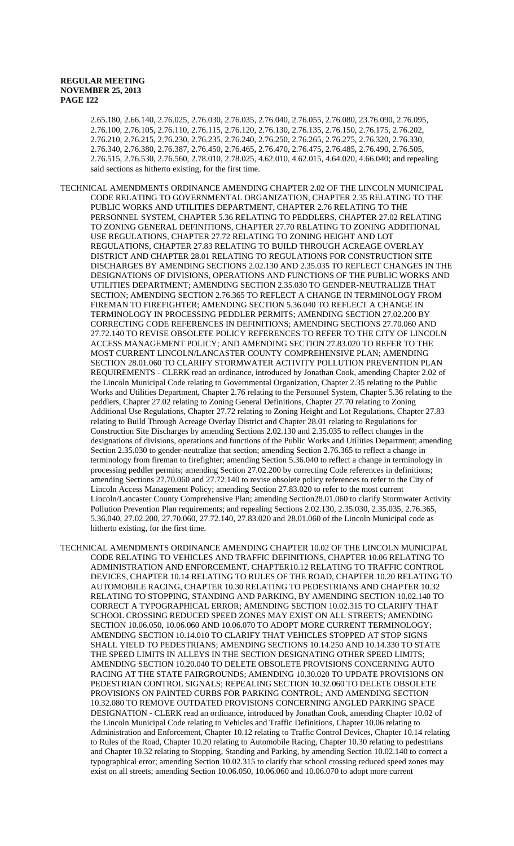2.65.180, 2.66.140, 2.76.025, 2.76.030, 2.76.035, 2.76.040, 2.76.055, 2.76.080, 23.76.090, 2.76.095, 2.76.100, 2.76.105, 2.76.110, 2.76.115, 2.76.120, 2.76.130, 2.76.135, 2.76.150, 2.76.175, 2.76.202, 2.76.210, 2.76.215, 2.76.230, 2.76.235, 2.76.240, 2.76.250, 2.76.265, 2.76.275, 2.76.320, 2.76.330, 2.76.340, 2.76.380, 2.76.387, 2.76.450, 2.76.465, 2.76.470, 2.76.475, 2.76.485, 2.76.490, 2.76.505, 2.76.515, 2.76.530, 2.76.560, 2.78.010, 2.78.025, 4.62.010, 4.62.015, 4.64.020, 4.66.040; and repealing said sections as hitherto existing, for the first time.

- TECHNICAL AMENDMENTS ORDINANCE AMENDING CHAPTER 2.02 OF THE LINCOLN MUNICIPAL CODE RELATING TO GOVERNMENTAL ORGANIZATION, CHAPTER 2.35 RELATING TO THE PUBLIC WORKS AND UTILITIES DEPARTMENT, CHAPTER 2.76 RELATING TO THE PERSONNEL SYSTEM, CHAPTER 5.36 RELATING TO PEDDLERS, CHAPTER 27.02 RELATING TO ZONING GENERAL DEFINITIONS, CHAPTER 27.70 RELATING TO ZONING ADDITIONAL USE REGULATIONS, CHAPTER 27.72 RELATING TO ZONING HEIGHT AND LOT REGULATIONS, CHAPTER 27.83 RELATING TO BUILD THROUGH ACREAGE OVERLAY DISTRICT AND CHAPTER 28.01 RELATING TO REGULATIONS FOR CONSTRUCTION SITE DISCHARGES BY AMENDING SECTIONS 2.02.130 AND 2.35.035 TO REFLECT CHANGES IN THE DESIGNATIONS OF DIVISIONS, OPERATIONS AND FUNCTIONS OF THE PUBLIC WORKS AND UTILITIES DEPARTMENT; AMENDING SECTION 2.35.030 TO GENDER-NEUTRALIZE THAT SECTION; AMENDING SECTION 2.76.365 TO REFLECT A CHANGE IN TERMINOLOGY FROM FIREMAN TO FIREFIGHTER; AMENDING SECTION 5.36.040 TO REFLECT A CHANGE IN TERMINOLOGY IN PROCESSING PEDDLER PERMITS; AMENDING SECTION 27.02.200 BY CORRECTING CODE REFERENCES IN DEFINITIONS; AMENDING SECTIONS 27.70.060 AND 27.72.140 TO REVISE OBSOLETE POLICY REFERENCES TO REFER TO THE CITY OF LINCOLN ACCESS MANAGEMENT POLICY; AND AMENDING SECTION 27.83.020 TO REFER TO THE MOST CURRENT LINCOLN/LANCASTER COUNTY COMPREHENSIVE PLAN; AMENDING SECTION 28.01.060 TO CLARIFY STORMWATER ACTIVITY POLLUTION PREVENTION PLAN REQUIREMENTS - CLERK read an ordinance, introduced by Jonathan Cook, amending Chapter 2.02 of the Lincoln Municipal Code relating to Governmental Organization, Chapter 2.35 relating to the Public Works and Utilities Department, Chapter 2.76 relating to the Personnel System, Chapter 5.36 relating to the peddlers, Chapter 27.02 relating to Zoning General Definitions, Chapter 27.70 relating to Zoning Additional Use Regulations, Chapter 27.72 relating to Zoning Height and Lot Regulations, Chapter 27.83 relating to Build Through Acreage Overlay District and Chapter 28.01 relating to Regulations for Construction Site Discharges by amending Sections 2.02.130 and 2.35.035 to reflect changes in the designations of divisions, operations and functions of the Public Works and Utilities Department; amending Section 2.35.030 to gender-neutralize that section; amending Section 2.76.365 to reflect a change in terminology from fireman to firefighter; amending Section 5.36.040 to reflect a change in terminology in processing peddler permits; amending Section 27.02.200 by correcting Code references in definitions; amending Sections 27.70.060 and 27.72.140 to revise obsolete policy references to refer to the City of Lincoln Access Management Policy; amending Section 27.83.020 to refer to the most current Lincoln/Lancaster County Comprehensive Plan; amending Section28.01.060 to clarify Stormwater Activity Pollution Prevention Plan requirements; and repealing Sections 2.02.130, 2.35.030, 2.35.035, 2.76.365, 5.36.040, 27.02.200, 27.70.060, 27.72.140, 27.83.020 and 28.01.060 of the Lincoln Municipal code as hitherto existing, for the first time.
- TECHNICAL AMENDMENTS ORDINANCE AMENDING CHAPTER 10.02 OF THE LINCOLN MUNICIPAL CODE RELATING TO VEHICLES AND TRAFFIC DEFINITIONS, CHAPTER 10.06 RELATING TO ADMINISTRATION AND ENFORCEMENT, CHAPTER10.12 RELATING TO TRAFFIC CONTROL DEVICES, CHAPTER 10.14 RELATING TO RULES OF THE ROAD, CHAPTER 10.20 RELATING TO AUTOMOBILE RACING, CHAPTER 10.30 RELATING TO PEDESTRIANS AND CHAPTER 10.32 RELATING TO STOPPING, STANDING AND PARKING, BY AMENDING SECTION 10.02.140 TO CORRECT A TYPOGRAPHICAL ERROR; AMENDING SECTION 10.02.315 TO CLARIFY THAT SCHOOL CROSSING REDUCED SPEED ZONES MAY EXIST ON ALL STREETS; AMENDING SECTION 10.06.050, 10.06.060 AND 10.06.070 TO ADOPT MORE CURRENT TERMINOLOGY; AMENDING SECTION 10.14.010 TO CLARIFY THAT VEHICLES STOPPED AT STOP SIGNS SHALL YIELD TO PEDESTRIANS; AMENDING SECTIONS 10.14.250 AND 10.14.330 TO STATE THE SPEED LIMITS IN ALLEYS IN THE SECTION DESIGNATING OTHER SPEED LIMITS; AMENDING SECTION 10.20.040 TO DELETE OBSOLETE PROVISIONS CONCERNING AUTO RACING AT THE STATE FAIRGROUNDS; AMENDING 10.30.020 TO UPDATE PROVISIONS ON PEDESTRIAN CONTROL SIGNALS; REPEALING SECTION 10.32.060 TO DELETE OBSOLETE PROVISIONS ON PAINTED CURBS FOR PARKING CONTROL; AND AMENDING SECTION 10.32.080 TO REMOVE OUTDATED PROVISIONS CONCERNING ANGLED PARKING SPACE DESIGNATION - CLERK read an ordinance, introduced by Jonathan Cook, amending Chapter 10.02 of the Lincoln Municipal Code relating to Vehicles and Traffic Definitions, Chapter 10.06 relating to Administration and Enforcement, Chapter 10.12 relating to Traffic Control Devices, Chapter 10.14 relating to Rules of the Road, Chapter 10.20 relating to Automobile Racing, Chapter 10.30 relating to pedestrians and Chapter 10.32 relating to Stopping, Standing and Parking, by amending Section 10.02.140 to correct a typographical error; amending Section 10.02.315 to clarify that school crossing reduced speed zones may exist on all streets; amending Section 10.06.050, 10.06.060 and 10.06.070 to adopt more current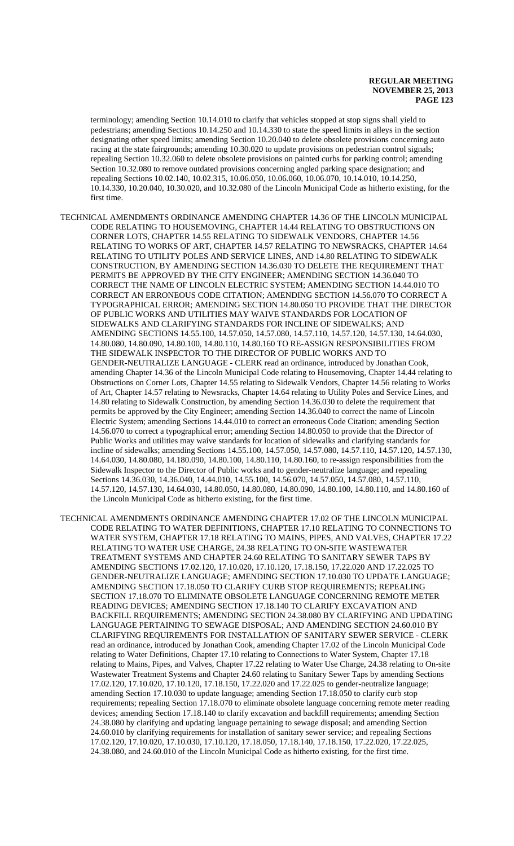terminology; amending Section 10.14.010 to clarify that vehicles stopped at stop signs shall yield to pedestrians; amending Sections 10.14.250 and 10.14.330 to state the speed limits in alleys in the section designating other speed limits; amending Section 10.20.040 to delete obsolete provisions concerning auto racing at the state fairgrounds; amending 10.30.020 to update provisions on pedestrian control signals; repealing Section 10.32.060 to delete obsolete provisions on painted curbs for parking control; amending Section 10.32.080 to remove outdated provisions concerning angled parking space designation; and repealing Sections 10.02.140, 10.02.315, 10.06.050, 10.06.060, 10.06.070, 10.14.010, 10.14.250, 10.14.330, 10.20.040, 10.30.020, and 10.32.080 of the Lincoln Municipal Code as hitherto existing, for the first time.

TECHNICAL AMENDMENTS ORDINANCE AMENDING CHAPTER 14.36 OF THE LINCOLN MUNICIPAL CODE RELATING TO HOUSEMOVING, CHAPTER 14.44 RELATING TO OBSTRUCTIONS ON CORNER LOTS, CHAPTER 14.55 RELATING TO SIDEWALK VENDORS, CHAPTER 14.56 RELATING TO WORKS OF ART, CHAPTER 14.57 RELATING TO NEWSRACKS, CHAPTER 14.64 RELATING TO UTILITY POLES AND SERVICE LINES, AND 14.80 RELATING TO SIDEWALK CONSTRUCTION, BY AMENDING SECTION 14.36.030 TO DELETE THE REQUIREMENT THAT PERMITS BE APPROVED BY THE CITY ENGINEER; AMENDING SECTION 14.36.040 TO CORRECT THE NAME OF LINCOLN ELECTRIC SYSTEM; AMENDING SECTION 14.44.010 TO CORRECT AN ERRONEOUS CODE CITATION; AMENDING SECTION 14.56.070 TO CORRECT A TYPOGRAPHICAL ERROR; AMENDING SECTION 14.80.050 TO PROVIDE THAT THE DIRECTOR OF PUBLIC WORKS AND UTILITIES MAY WAIVE STANDARDS FOR LOCATION OF SIDEWALKS AND CLARIFYING STANDARDS FOR INCLINE OF SIDEWALKS; AND AMENDING SECTIONS 14.55.100, 14.57.050, 14.57.080, 14.57.110, 14.57.120, 14.57.130, 14.64.030, 14.80.080, 14.80.090, 14.80.100, 14.80.110, 14.80.160 TO RE-ASSIGN RESPONSIBILITIES FROM THE SIDEWALK INSPECTOR TO THE DIRECTOR OF PUBLIC WORKS AND TO GENDER-NEUTRALIZE LANGUAGE - CLERK read an ordinance, introduced by Jonathan Cook, amending Chapter 14.36 of the Lincoln Municipal Code relating to Housemoving, Chapter 14.44 relating to Obstructions on Corner Lots, Chapter 14.55 relating to Sidewalk Vendors, Chapter 14.56 relating to Works of Art, Chapter 14.57 relating to Newsracks, Chapter 14.64 relating to Utility Poles and Service Lines, and 14.80 relating to Sidewalk Construction, by amending Section 14.36.030 to delete the requirement that permits be approved by the City Engineer; amending Section 14.36.040 to correct the name of Lincoln Electric System; amending Sections 14.44.010 to correct an erroneous Code Citation; amending Section 14.56.070 to correct a typographical error; amending Section 14.80.050 to provide that the Director of Public Works and utilities may waive standards for location of sidewalks and clarifying standards for incline of sidewalks; amending Sections 14.55.100, 14.57.050, 14.57.080, 14.57.110, 14.57.120, 14.57.130, 14.64.030, 14.80.080, 14.180.090, 14.80.100, 14.80.110, 14.80.160, to re-assign responsibilities from the Sidewalk Inspector to the Director of Public works and to gender-neutralize language; and repealing Sections 14.36.030, 14.36.040, 14.44.010, 14.55.100, 14.56.070, 14.57.050, 14.57.080, 14.57.110, 14.57.120, 14.57.130, 14.64.030, 14.80.050, 14.80.080, 14.80.090, 14.80.100, 14.80.110, and 14.80.160 of the Lincoln Municipal Code as hitherto existing, for the first time.

TECHNICAL AMENDMENTS ORDINANCE AMENDING CHAPTER 17.02 OF THE LINCOLN MUNICIPAL CODE RELATING TO WATER DEFINITIONS, CHAPTER 17.10 RELATING TO CONNECTIONS TO WATER SYSTEM, CHAPTER 17.18 RELATING TO MAINS, PIPES, AND VALVES, CHAPTER 17.22 RELATING TO WATER USE CHARGE, 24.38 RELATING TO ON-SITE WASTEWATER TREATMENT SYSTEMS AND CHAPTER 24.60 RELATING TO SANITARY SEWER TAPS BY AMENDING SECTIONS 17.02.120, 17.10.020, 17.10.120, 17.18.150, 17.22.020 AND 17.22.025 TO GENDER-NEUTRALIZE LANGUAGE; AMENDING SECTION 17.10.030 TO UPDATE LANGUAGE; AMENDING SECTION 17.18.050 TO CLARIFY CURB STOP REQUIREMENTS; REPEALING SECTION 17.18.070 TO ELIMINATE OBSOLETE LANGUAGE CONCERNING REMOTE METER READING DEVICES; AMENDING SECTION 17.18.140 TO CLARIFY EXCAVATION AND BACKFILL REQUIREMENTS; AMENDING SECTION 24.38.080 BY CLARIFYING AND UPDATING LANGUAGE PERTAINING TO SEWAGE DISPOSAL; AND AMENDING SECTION 24.60.010 BY CLARIFYING REQUIREMENTS FOR INSTALLATION OF SANITARY SEWER SERVICE - CLERK read an ordinance, introduced by Jonathan Cook, amending Chapter 17.02 of the Lincoln Municipal Code relating to Water Definitions, Chapter 17.10 relating to Connections to Water System, Chapter 17.18 relating to Mains, Pipes, and Valves, Chapter 17.22 relating to Water Use Charge, 24.38 relating to On-site Wastewater Treatment Systems and Chapter 24.60 relating to Sanitary Sewer Taps by amending Sections 17.02.120, 17.10.020, 17.10.120, 17.18.150, 17.22.020 and 17.22.025 to gender-neutralize language; amending Section 17.10.030 to update language; amending Section 17.18.050 to clarify curb stop requirements; repealing Section 17.18.070 to eliminate obsolete language concerning remote meter reading devices; amending Section 17.18.140 to clarify excavation and backfill requirements; amending Section 24.38.080 by clarifying and updating language pertaining to sewage disposal; and amending Section 24.60.010 by clarifying requirements for installation of sanitary sewer service; and repealing Sections 17.02.120, 17.10.020, 17.10.030, 17.10.120, 17.18.050, 17.18.140, 17.18.150, 17.22.020, 17.22.025, 24.38.080, and 24.60.010 of the Lincoln Municipal Code as hitherto existing, for the first time.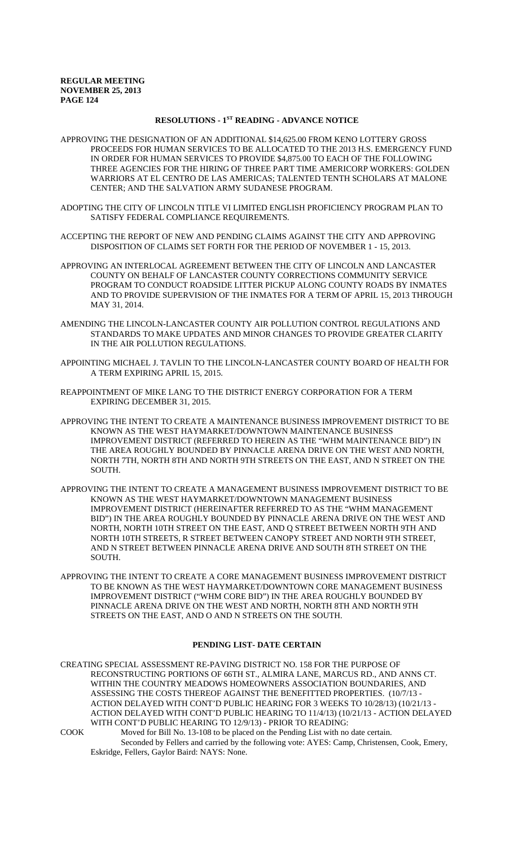# **RESOLUTIONS - 1ST READING - ADVANCE NOTICE**

- APPROVING THE DESIGNATION OF AN ADDITIONAL \$14,625.00 FROM KENO LOTTERY GROSS PROCEEDS FOR HUMAN SERVICES TO BE ALLOCATED TO THE 2013 H.S. EMERGENCY FUND IN ORDER FOR HUMAN SERVICES TO PROVIDE \$4,875.00 TO EACH OF THE FOLLOWING THREE AGENCIES FOR THE HIRING OF THREE PART TIME AMERICORP WORKERS: GOLDEN WARRIORS AT EL CENTRO DE LAS AMERICAS; TALENTED TENTH SCHOLARS AT MALONE CENTER; AND THE SALVATION ARMY SUDANESE PROGRAM.
- ADOPTING THE CITY OF LINCOLN TITLE VI LIMITED ENGLISH PROFICIENCY PROGRAM PLAN TO SATISFY FEDERAL COMPLIANCE REQUIREMENTS.
- ACCEPTING THE REPORT OF NEW AND PENDING CLAIMS AGAINST THE CITY AND APPROVING DISPOSITION OF CLAIMS SET FORTH FOR THE PERIOD OF NOVEMBER 1 - 15, 2013.
- APPROVING AN INTERLOCAL AGREEMENT BETWEEN THE CITY OF LINCOLN AND LANCASTER COUNTY ON BEHALF OF LANCASTER COUNTY CORRECTIONS COMMUNITY SERVICE PROGRAM TO CONDUCT ROADSIDE LITTER PICKUP ALONG COUNTY ROADS BY INMATES AND TO PROVIDE SUPERVISION OF THE INMATES FOR A TERM OF APRIL 15, 2013 THROUGH MAY 31, 2014.
- AMENDING THE LINCOLN-LANCASTER COUNTY AIR POLLUTION CONTROL REGULATIONS AND STANDARDS TO MAKE UPDATES AND MINOR CHANGES TO PROVIDE GREATER CLARITY IN THE AIR POLLUTION REGULATIONS.
- APPOINTING MICHAEL J. TAVLIN TO THE LINCOLN-LANCASTER COUNTY BOARD OF HEALTH FOR A TERM EXPIRING APRIL 15, 2015.
- REAPPOINTMENT OF MIKE LANG TO THE DISTRICT ENERGY CORPORATION FOR A TERM EXPIRING DECEMBER 31, 2015.
- APPROVING THE INTENT TO CREATE A MAINTENANCE BUSINESS IMPROVEMENT DISTRICT TO BE KNOWN AS THE WEST HAYMARKET/DOWNTOWN MAINTENANCE BUSINESS IMPROVEMENT DISTRICT (REFERRED TO HEREIN AS THE "WHM MAINTENANCE BID") IN THE AREA ROUGHLY BOUNDED BY PINNACLE ARENA DRIVE ON THE WEST AND NORTH, NORTH 7TH, NORTH 8TH AND NORTH 9TH STREETS ON THE EAST, AND N STREET ON THE SOUTH.
- APPROVING THE INTENT TO CREATE A MANAGEMENT BUSINESS IMPROVEMENT DISTRICT TO BE KNOWN AS THE WEST HAYMARKET/DOWNTOWN MANAGEMENT BUSINESS IMPROVEMENT DISTRICT (HEREINAFTER REFERRED TO AS THE "WHM MANAGEMENT BID") IN THE AREA ROUGHLY BOUNDED BY PINNACLE ARENA DRIVE ON THE WEST AND NORTH, NORTH 10TH STREET ON THE EAST, AND Q STREET BETWEEN NORTH 9TH AND NORTH 10TH STREETS, R STREET BETWEEN CANOPY STREET AND NORTH 9TH STREET, AND N STREET BETWEEN PINNACLE ARENA DRIVE AND SOUTH 8TH STREET ON THE **SOUTH**
- APPROVING THE INTENT TO CREATE A CORE MANAGEMENT BUSINESS IMPROVEMENT DISTRICT TO BE KNOWN AS THE WEST HAYMARKET/DOWNTOWN CORE MANAGEMENT BUSINESS IMPROVEMENT DISTRICT ("WHM CORE BID") IN THE AREA ROUGHLY BOUNDED BY PINNACLE ARENA DRIVE ON THE WEST AND NORTH, NORTH 8TH AND NORTH 9TH STREETS ON THE EAST, AND O AND N STREETS ON THE SOUTH.

## **PENDING LIST- DATE CERTAIN**

CREATING SPECIAL ASSESSMENT RE-PAVING DISTRICT NO. 158 FOR THE PURPOSE OF RECONSTRUCTING PORTIONS OF 66TH ST., ALMIRA LANE, MARCUS RD., AND ANNS CT. WITHIN THE COUNTRY MEADOWS HOMEOWNERS ASSOCIATION BOUNDARIES, AND ASSESSING THE COSTS THEREOF AGAINST THE BENEFITTED PROPERTIES. (10/7/13 - ACTION DELAYED WITH CONT'D PUBLIC HEARING FOR 3 WEEKS TO 10/28/13) (10/21/13 - ACTION DELAYED WITH CONT'D PUBLIC HEARING TO 11/4/13) (10/21/13 - ACTION DELAYED WITH CONT'D PUBLIC HEARING TO 12/9/13) - PRIOR TO READING:

COOK Moved for Bill No. 13-108 to be placed on the Pending List with no date certain. Seconded by Fellers and carried by the following vote: AYES: Camp, Christensen, Cook, Emery, Eskridge, Fellers, Gaylor Baird: NAYS: None.